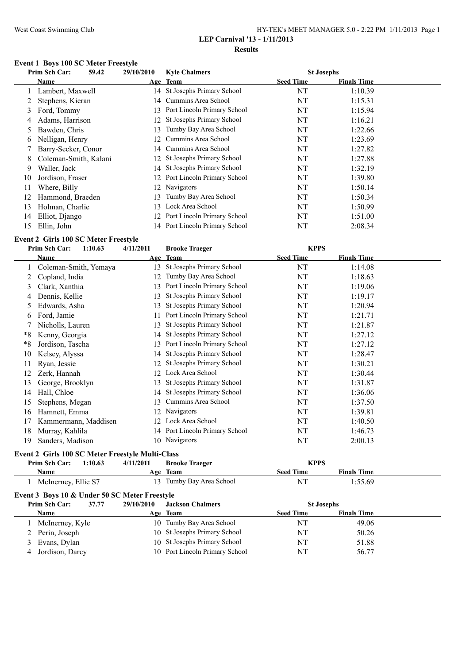# West Coast Swimming Club HY-TEK's MEET MANAGER 5.0 - 2:22 PM 1/11/2013 Page 1

# **LEP Carnival '13 - 1/11/2013**

**Results**

# **Event 1 Boys 100 SC Meter Freestyle**

|    | Prim Sch Car:         | 59.42 | 29/10/2010      | <b>Kyle Chalmers</b>           |                  | <b>St Josephs</b>  |  |
|----|-----------------------|-------|-----------------|--------------------------------|------------------|--------------------|--|
|    | Name                  |       |                 | Age Team                       | <b>Seed Time</b> | <b>Finals Time</b> |  |
|    | Lambert, Maxwell      |       |                 | 14 St Josephs Primary School   | NT               | 1:10.39            |  |
|    | Stephens, Kieran      |       | 14              | Cummins Area School            | NT               | 1:15.31            |  |
| 3  | Ford, Tommy           |       |                 | 13 Port Lincoln Primary School | NT               | 1:15.94            |  |
| 4  | Adams, Harrison       |       |                 | 12 St Josephs Primary School   | NT               | 1:16.21            |  |
|    | Bawden, Chris         |       | 13.             | Tumby Bay Area School          | NT               | 1:22.66            |  |
| 6  | Nelligan, Henry       |       | 12 <sup>1</sup> | Cummins Area School            | NT               | 1:23.69            |  |
|    | Barry-Secker, Conor   |       |                 | 14 Cummins Area School         | NT               | 1:27.82            |  |
| 8. | Coleman-Smith, Kalani |       |                 | 12 St Josephs Primary School   | NT               | 1:27.88            |  |
| 9  | Waller, Jack          |       |                 | 14 St Josephs Primary School   | NT               | 1:32.19            |  |
| 10 | Jordison, Fraser      |       |                 | 12 Port Lincoln Primary School | NT               | 1:39.80            |  |
| 11 | Where, Billy          |       |                 | 12 Navigators                  | NT               | 1:50.14            |  |
| 12 | Hammond, Braeden      |       | 13.             | Tumby Bay Area School          | NT               | 1:50.34            |  |
| 13 | Holman, Charlie       |       | 13              | Lock Area School               | NT               | 1:50.99            |  |
| 14 | Elliot, Django        |       |                 | 12 Port Lincoln Primary School | NT               | 1:51.00            |  |
| 15 | Ellin, John           |       |                 | 14 Port Lincoln Primary School | NT               | 2:08.34            |  |

#### **Event 2 Girls 100 SC Meter Freestyle**

|    | Prim Sch Car:<br>1:10.63 | 4/11/2011 | <b>Brooke Traeger</b>          | <b>KPPS</b>      |                    |
|----|--------------------------|-----------|--------------------------------|------------------|--------------------|
|    | Name                     |           | Age Team                       | <b>Seed Time</b> | <b>Finals Time</b> |
|    | Coleman-Smith, Yemaya    | 13        | St Josephs Primary School      | NT               | 1:14.08            |
|    | Copland, India           | 12        | Tumby Bay Area School          | NT               | 1:18.63            |
| 3  | Clark, Xanthia           | 13        | Port Lincoln Primary School    | NT               | 1:19.06            |
| 4  | Dennis, Kellie           | 13        | St Josephs Primary School      | NT               | 1:19.17            |
| 5  | Edwards, Asha            | 13        | St Josephs Primary School      | NT               | 1:20.94            |
| b  | Ford, Jamie              | 11        | Port Lincoln Primary School    | NT               | 1:21.71            |
|    | Nicholls, Lauren         | 13        | St Josephs Primary School      | NT               | 1:21.87            |
| *8 | Kenny, Georgia           | 14        | St Josephs Primary School      | NT               | 1:27.12            |
| *8 | Jordison, Tascha         | 13        | Port Lincoln Primary School    | NT               | 1:27.12            |
| 10 | Kelsey, Alyssa           | 14        | St Josephs Primary School      | NT               | 1:28.47            |
| 11 | Ryan, Jessie             | 12        | St Josephs Primary School      | NT               | 1:30.21            |
| 12 | Zerk, Hannah             | 12        | Lock Area School               | NT               | 1:30.44            |
| 13 | George, Brooklyn         | 13        | St Josephs Primary School      | NT               | 1:31.87            |
| 14 | Hall, Chloe              | 14        | St Josephs Primary School      | NT               | 1:36.06            |
| 15 | Stephens, Megan          | 13        | Cummins Area School            | NT               | 1:37.50            |
| 16 | Hamnett, Emma            | 12        | Navigators                     | NT               | 1:39.81            |
| 17 | Kammermann, Maddisen     | 12        | Lock Area School               | NT               | 1:40.50            |
| 18 | Murray, Kahlila          |           | 14 Port Lincoln Primary School | NT               | 1:46.73            |
| 19 | Sanders, Madison         |           | 10 Navigators                  | NT               | 2:00.13            |
|    |                          |           |                                |                  |                    |

#### **Event 2 Girls 100 SC Meter Freestyle Multi-Class**

| 1:10.63<br><b>Prim Sch Car:</b> | 4/11/2011<br><b>Brooke Traeger</b> | <b>KPPS</b>                            |  |
|---------------------------------|------------------------------------|----------------------------------------|--|
| Name                            | Age Team                           | <b>Finals Time</b><br><b>Seed Time</b> |  |
| McInerney, Ellie S7             | 13 Tumby Bay Area School           | NT<br>1:55.69                          |  |

| Event 3 Boys 10 & Under 50 SC Meter Freestyle |                   |       |            |                                |                   |                    |  |
|-----------------------------------------------|-------------------|-------|------------|--------------------------------|-------------------|--------------------|--|
|                                               | Prim Sch Car:     | 37.77 | 29/10/2010 | <b>Jackson Chalmers</b>        | <b>St Josephs</b> |                    |  |
|                                               | <b>Name</b>       |       |            | Age Team                       | <b>Seed Time</b>  | <b>Finals Time</b> |  |
|                                               | McInerney, Kyle   |       |            | 10 Tumby Bay Area School       | NT                | 49.06              |  |
|                                               | 2 Perin, Joseph   |       |            | 10 St Josephs Primary School   | NΤ                | 50.26              |  |
|                                               | 3 Evans, Dylan    |       |            | 10 St Josephs Primary School   | NT                | 51.88              |  |
|                                               | 4 Jordison, Darcy |       |            | 10 Port Lincoln Primary School | NT                | 56.77              |  |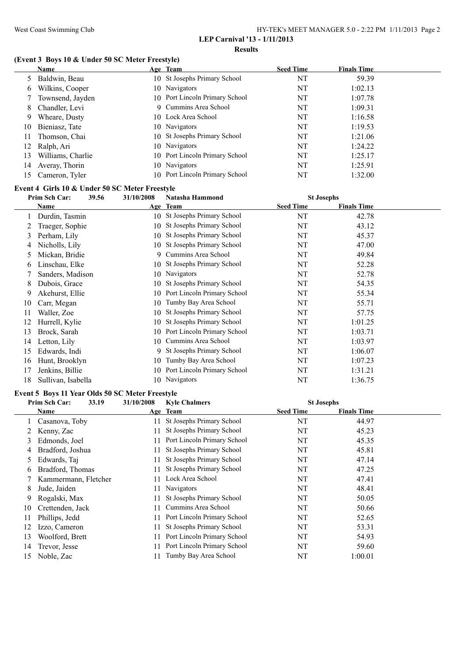#### **Results**

# **(Event 3 Boys 10 & Under 50 SC Meter Freestyle)**

|    | Name              | Age Team                       | <b>Seed Time</b> | <b>Finals Time</b> |
|----|-------------------|--------------------------------|------------------|--------------------|
|    | 5 Baldwin, Beau   | 10 St Josephs Primary School   | NT               | 59.39              |
| 6  | Wilkins, Cooper   | 10 Navigators                  | NT               | 1:02.13            |
|    | Townsend, Jayden  | 10 Port Lincoln Primary School | NT               | 1:07.78            |
| 8  | Chandler, Levi    | 9 Cummins Area School          | NT               | 1:09.31            |
| 9  | Wheare, Dusty     | 10 Lock Area School            | NT               | 1:16.58            |
| 10 | Bieniasz, Tate    | 10 Navigators                  | NT               | 1:19.53            |
| 11 | Thomson, Chai     | 10 St Josephs Primary School   | NT               | 1:21.06            |
| 12 | Ralph, Ari        | 10 Navigators                  | NT               | 1:24.22            |
| 13 | Williams, Charlie | 10 Port Lincoln Primary School | NT               | 1:25.17            |
| 14 | Averay, Thorin    | 10 Navigators                  | NT               | 1:25.91            |
| 15 | Cameron, Tyler    | 10 Port Lincoln Primary School | NT               | 1:32.00            |

#### **Event 4 Girls 10 & Under 50 SC Meter Freestyle**

|    | Prim Sch Car:      | 39.56 | 31/10/2008 | Natasha Hammond              | <b>St Josephs</b> |                    |  |
|----|--------------------|-------|------------|------------------------------|-------------------|--------------------|--|
|    | Name               |       |            | Age Team                     | <b>Seed Time</b>  | <b>Finals Time</b> |  |
|    | Durdin, Tasmin     |       |            | 10 St Josephs Primary School | NT                | 42.78              |  |
|    | Traeger, Sophie    |       | 10         | St Josephs Primary School    | NT                | 43.12              |  |
| 3  | Perham, Lily       |       | 10         | St Josephs Primary School    | NT                | 45.37              |  |
| 4  | Nicholls, Lily     |       | 10         | St Josephs Primary School    | NT                | 47.00              |  |
| 5  | Mickan, Bridie     |       | 9          | Cummins Area School          | NT                | 49.84              |  |
| 6  | Linschau, Elke     |       |            | 10 St Josephs Primary School | NT                | 52.28              |  |
|    | Sanders, Madison   |       | 10         | Navigators                   | NT                | 52.78              |  |
| 8  | Dubois, Grace      |       | 10         | St Josephs Primary School    | NT                | 54.35              |  |
| 9  | Akehurst, Ellie    |       | 10         | Port Lincoln Primary School  | NT                | 55.34              |  |
| 10 | Carr, Megan        |       | 10         | Tumby Bay Area School        | NT                | 55.71              |  |
| 11 | Waller, Zoe        |       | 10         | St Josephs Primary School    | NT                | 57.75              |  |
| 12 | Hurrell, Kylie     |       | 10         | St Josephs Primary School    | NT                | 1:01.25            |  |
| 13 | Brock, Sarah       |       | 10         | Port Lincoln Primary School  | NT                | 1:03.71            |  |
| 14 | Letton, Lily       |       | 10         | Cummins Area School          | NT                | 1:03.97            |  |
| 15 | Edwards, Indi      |       | 9          | St Josephs Primary School    | NT                | 1:06.07            |  |
| 16 | Hunt, Brooklyn     |       | 10         | Tumby Bay Area School        | NT                | 1:07.23            |  |
| 17 | Jenkins, Billie    |       | 10         | Port Lincoln Primary School  | NT                | 1:31.21            |  |
| 18 | Sullivan, Isabella |       |            | 10 Navigators                | NT                | 1:36.75            |  |

#### **Event 5 Boys 11 Year Olds 50 SC Meter Freestyle**

| 33.19<br>Prim Sch Car: | 31/10/2008 | <b>Kyle Chalmers</b>        |                  |                    |                   |
|------------------------|------------|-----------------------------|------------------|--------------------|-------------------|
| Name                   |            |                             | <b>Seed Time</b> | <b>Finals Time</b> |                   |
| Casanova, Toby         |            | St Josephs Primary School   | NT               | 44.97              |                   |
| Kenny, Zac             |            | St Josephs Primary School   | NT               | 45.23              |                   |
| Edmonds, Joel          |            | Port Lincoln Primary School | NT               | 45.35              |                   |
| Bradford, Joshua       |            | St Josephs Primary School   | NT               | 45.81              |                   |
| Edwards, Taj           |            | St Josephs Primary School   | NT               | 47.14              |                   |
| Bradford, Thomas       |            | St Josephs Primary School   | NT               | 47.25              |                   |
| Kammermann, Fletcher   |            | Lock Area School            | NT               | 47.41              |                   |
| Jude, Jaiden           |            | <b>Navigators</b>           | NT               | 48.41              |                   |
| Rogalski, Max          |            | St Josephs Primary School   | NT               | 50.05              |                   |
| Crettenden, Jack       |            | Cummins Area School         | NT               | 50.66              |                   |
| Phillips, Jedd         |            | Port Lincoln Primary School | NT               | 52.65              |                   |
| Izzo, Cameron          |            | St Josephs Primary School   | NT               | 53.31              |                   |
| Woolford, Brett        |            | Port Lincoln Primary School | NT               | 54.93              |                   |
| Trevor, Jesse          |            | Port Lincoln Primary School | NT               | 59.60              |                   |
| Noble, Zac             |            | Tumby Bay Area School       | NT               | 1:00.01            |                   |
|                        |            |                             | Age Team         |                    | <b>St Josephs</b> |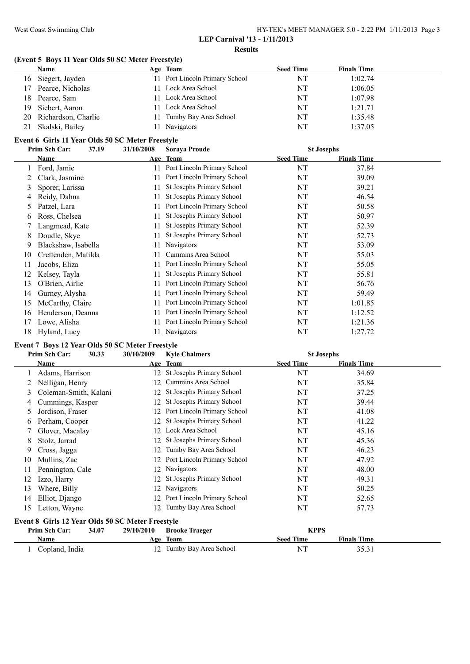#### West Coast Swimming Club HY-TEK's MEET MANAGER 5.0 - 2:22 PM 1/11/2013 Page 3

#### **LEP Carnival '13 - 1/11/2013 Results**

# **(Event 5 Boys 11 Year Olds 50 SC Meter Freestyle)**

|    | <b>Name</b>         | Age Team                       | <b>Seed Time</b> | <b>Finals Time</b> |
|----|---------------------|--------------------------------|------------------|--------------------|
| 16 | Siegert, Jayden     | 11 Port Lincoln Primary School | NT               | 1:02.74            |
| 17 | Pearce, Nicholas    | 11 Lock Area School            | NT               | 1:06.05            |
| 18 | Pearce, Sam         | 11 Lock Area School            | NT               | 1:07.98            |
| 19 | Siebert, Aaron      | 11 Lock Area School            | NT               | 1:21.71            |
| 20 | Richardson, Charlie | 11 Tumby Bay Area School       | NT               | 1:35.48            |
| 21 | Skalski, Bailey     | Navigators                     | NT               | 1:37.05            |

#### **Event 6 Girls 11 Year Olds 50 SC Meter Freestyle**

|    | Prim Sch Car:<br>37.19 | 31/10/2008 | <b>Soraya Proude</b>        | <b>St Josephs</b> |                    |  |
|----|------------------------|------------|-----------------------------|-------------------|--------------------|--|
|    | Name                   |            | Age Team                    | <b>Seed Time</b>  | <b>Finals Time</b> |  |
|    | Ford, Jamie            | 11         | Port Lincoln Primary School | NT                | 37.84              |  |
|    | Clark, Jasmine         | 11         | Port Lincoln Primary School | NT                | 39.09              |  |
| 3  | Sporer, Larissa        |            | St Josephs Primary School   | NT                | 39.21              |  |
| 4  | Reidy, Dahna           |            | St Josephs Primary School   | NT                | 46.54              |  |
| 5  | Patzel, Lara           |            | Port Lincoln Primary School | NT                | 50.58              |  |
| 6  | Ross, Chelsea          | 11.        | St Josephs Primary School   | NT                | 50.97              |  |
|    | Langmead, Kate         | 11         | St Josephs Primary School   | NT                | 52.39              |  |
| 8  | Doudle, Skye           | 11         | St Josephs Primary School   | NT                | 52.73              |  |
| 9  | Blackshaw, Isabella    |            | Navigators                  | NT                | 53.09              |  |
| 10 | Crettenden, Matilda    | 11.        | Cummins Area School         | NT                | 55.03              |  |
| 11 | Jacobs, Eliza          | 11.        | Port Lincoln Primary School | NT                | 55.05              |  |
| 12 | Kelsey, Tayla          | 11         | St Josephs Primary School   | NT                | 55.81              |  |
| 13 | O'Brien, Airlie        |            | Port Lincoln Primary School | NT                | 56.76              |  |
| 14 | Gurney, Alysha         |            | Port Lincoln Primary School | NT                | 59.49              |  |
| 15 | McCarthy, Claire       |            | Port Lincoln Primary School | NT                | 1:01.85            |  |
| 16 | Henderson, Deanna      |            | Port Lincoln Primary School | NT                | 1:12.52            |  |
| 17 | Lowe, Alisha           | 11         | Port Lincoln Primary School | NT                | 1:21.36            |  |
| 18 | Hyland, Lucy           |            | 11 Navigators               | NT                | 1:27.72            |  |

### **Event 7 Boys 12 Year Olds 50 SC Meter Freestyle**

|    | Prim Sch Car:                                    | 30.33 | 30/10/2009 | <b>Kyle Chalmers</b>         | <b>St Josephs</b> |                    |  |
|----|--------------------------------------------------|-------|------------|------------------------------|-------------------|--------------------|--|
|    | Name                                             |       |            | Age Team                     | <b>Seed Time</b>  | <b>Finals Time</b> |  |
|    | Adams, Harrison                                  |       |            | 12 St Josephs Primary School | NT                | 34.69              |  |
|    | Nelligan, Henry                                  |       | 12         | Cummins Area School          | NT                | 35.84              |  |
| 3  | Coleman-Smith, Kalani                            |       |            | 12 St Josephs Primary School | NT                | 37.25              |  |
|    | Cummings, Kasper                                 |       |            | 12 St Josephs Primary School | NT                | 39.44              |  |
| 5  | Jordison, Fraser                                 |       | 12         | Port Lincoln Primary School  | NT                | 41.08              |  |
| 6  | Perham, Cooper                                   |       |            | 12 St Josephs Primary School | NT                | 41.22              |  |
|    | Glover, Macalay                                  |       | 12         | Lock Area School             | NT                | 45.16              |  |
| 8  | Stolz, Jarrad                                    |       |            | 12 St Josephs Primary School | NT                | 45.36              |  |
| 9  | Cross, Jagga                                     |       | 12         | Tumby Bay Area School        | NT                | 46.23              |  |
| 10 | Mullins, Zac                                     |       | 12         | Port Lincoln Primary School  | NT                | 47.92              |  |
| 11 | Pennington, Cale                                 |       | 12         | Navigators                   | NT                | 48.00              |  |
| 12 | Izzo, Harry                                      |       |            | 12 St Josephs Primary School | NT                | 49.31              |  |
| 13 | Where, Billy                                     |       | 12         | Navigators                   | NT                | 50.25              |  |
| 14 | Elliot, Django                                   |       | 12         | Port Lincoln Primary School  | NT                | 52.65              |  |
| 15 | Letton, Wayne                                    |       | 12         | Tumby Bay Area School        | NT                | 57.73              |  |
|    | Event 8 Girls 12 Year Olds 50 SC Meter Freestyle |       |            |                              |                   |                    |  |
|    | Prim Sch Car:                                    | 34.07 | 29/10/2010 | <b>Brooke Traeger</b>        | <b>KPPS</b>       |                    |  |
|    | Name                                             |       |            | Age Team                     | <b>Seed Time</b>  | <b>Finals Time</b> |  |
|    | Copland, India                                   |       |            | 12 Tumby Bay Area School     | NT                | 35.31              |  |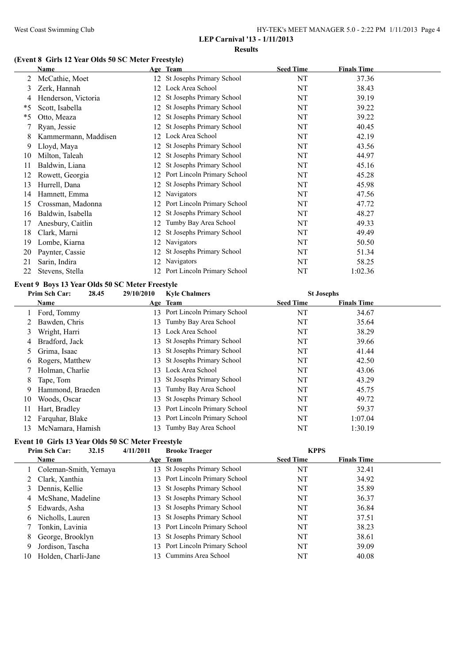| HY-TEK's MEET MANAGER 5.0 - 2:22 PM 1/11/2013 Page 4 |  |
|------------------------------------------------------|--|
|------------------------------------------------------|--|

#### **Results**

# **(Event 8 Girls 12 Year Olds 50 SC Meter Freestyle)**

|         | Name                 |     | Age Team                     | <b>Seed Time</b> | <b>Finals Time</b> |  |
|---------|----------------------|-----|------------------------------|------------------|--------------------|--|
| 2       | McCathie, Moet       |     | 12 St Josephs Primary School | NT               | 37.36              |  |
| 3       | Zerk, Hannah         |     | 12 Lock Area School          | NT               | 38.43              |  |
| 4       | Henderson, Victoria  | 12  | St Josephs Primary School    | NT               | 39.19              |  |
| *5      | Scott, Isabella      | 12  | St Josephs Primary School    | NT               | 39.22              |  |
| $*_{5}$ | Otto, Meaza          | 12  | St Josephs Primary School    | NT               | 39.22              |  |
| 7       | Ryan, Jessie         | 12  | St Josephs Primary School    | NT               | 40.45              |  |
| 8       | Kammermann, Maddisen | 12  | Lock Area School             | NT               | 42.19              |  |
| 9       | Lloyd, Maya          | 12  | St Josephs Primary School    | NT               | 43.56              |  |
| 10      | Milton, Taleah       | 12  | St Josephs Primary School    | NT               | 44.97              |  |
| 11      | Baldwin, Liana       | 12  | St Josephs Primary School    | NT               | 45.16              |  |
| 12      | Rowett, Georgia      | 12  | Port Lincoln Primary School  | NT               | 45.28              |  |
| 13      | Hurrell, Dana        | 12  | St Josephs Primary School    | NT               | 45.98              |  |
| 14      | Hamnett, Emma        | 12  | Navigators                   | NT               | 47.56              |  |
| 15      | Crossman, Madonna    | 12  | Port Lincoln Primary School  | NT               | 47.72              |  |
| 16      | Baldwin, Isabella    | 12  | St Josephs Primary School    | NT               | 48.27              |  |
| 17      | Anesbury, Caitlin    | 12  | Tumby Bay Area School        | NT               | 49.33              |  |
| 18      | Clark, Marni         | 12  | St Josephs Primary School    | NT               | 49.49              |  |
| 19      | Lombe, Kiarna        | 12  | Navigators                   | NT               | 50.50              |  |
| 20      | Paynter, Cassie      | 12  | St Josephs Primary School    | NT               | 51.34              |  |
| 21      | Sarin, Indira        | 12  | Navigators                   | NT               | 58.25              |  |
| 22      | Stevens, Stella      | 12. | Port Lincoln Primary School  | NT               | 1:02.36            |  |

#### **Event 9 Boys 13 Year Olds 50 SC Meter Freestyle**

|               | Prim Sch Car:<br>28.45 | 29/10/2010 | <b>Kyle Chalmers</b>           | <b>St Josephs</b> |                    |  |
|---------------|------------------------|------------|--------------------------------|-------------------|--------------------|--|
|               | Name                   |            | Age Team                       | <b>Seed Time</b>  | <b>Finals Time</b> |  |
|               | Ford, Tommy            |            | 13 Port Lincoln Primary School | NT                | 34.67              |  |
| 2             | Bawden, Chris          |            | 13 Tumby Bay Area School       | NT                | 35.64              |  |
| 3             | Wright, Harri          |            | 13 Lock Area School            | NT                | 38.29              |  |
| 4             | Bradford, Jack         |            | 13 St Josephs Primary School   | NT                | 39.66              |  |
| $\mathcal{D}$ | Grima, Isaac           |            | 13 St Josephs Primary School   | NT                | 41.44              |  |
| 6             | Rogers, Matthew        | 13         | St Josephs Primary School      | NT                | 42.50              |  |
|               | Holman, Charlie        |            | 13 Lock Area School            | NT                | 43.06              |  |
| 8             | Tape, Tom              |            | 13 St Josephs Primary School   | NT                | 43.29              |  |
| 9             | Hammond, Braeden       | 13.        | Tumby Bay Area School          | NT                | 45.75              |  |
| 10            | Woods, Oscar           | 13         | St Josephs Primary School      | NT                | 49.72              |  |
| 11            | Hart, Bradley          |            | 13 Port Lincoln Primary School | NT                | 59.37              |  |
| 12            | Farquhar, Blake        | 13         | Port Lincoln Primary School    | NT                | 1:07.04            |  |
| 13            | McNamara, Hamish       | 13         | Tumby Bay Area School          | NT                | 1:30.19            |  |

#### **Event 10 Girls 13 Year Olds 50 SC Meter Freestyle**

#### **Prim Sch Car: 32.15 4/11/2011 Brooke Traeger KPPS Age Team Seed Time Finals Time** 1 Coleman-Smith, Yemaya 13 St Josephs Primary School NT 32.41 2 Clark, Xanthia 13 Port Lincoln Primary School NT 34.92 Dennis, Kellie 13 St Josephs Primary School NT 35.89 McShane, Madeline 13 St Josephs Primary School NT 36.37 Edwards, Asha 13 St Josephs Primary School NT 36.84 Nicholls, Lauren 13 St Josephs Primary School NT 37.51 Tonkin, Lavinia 13 Port Lincoln Primary School NT 38.23 8 George, Brooklyn 13 St Josephs Primary School NT 38.61 Jordison, Tascha 13 Port Lincoln Primary School NT 39.09

Holden, Charli-Jane 13 Cummins Area School NT 40.08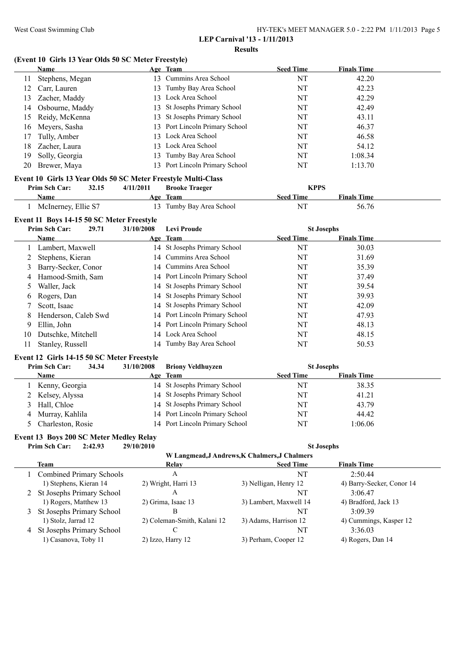#### **LEP Carnival '13 - 1/11/2013 Results**

#### **(Event 10 Girls 13 Year Olds 50 SC Meter Freestyle)**

|    | <b>Name</b>     |     | Age Team                       | <b>Seed Time</b> | <b>Finals Time</b> |  |
|----|-----------------|-----|--------------------------------|------------------|--------------------|--|
|    | Stephens, Megan |     | 13 Cummins Area School         | NT               | 42.20              |  |
| 12 | Carr, Lauren    |     | 13 Tumby Bay Area School       | NT               | 42.23              |  |
| 13 | Zacher, Maddy   |     | 13 Lock Area School            | NT               | 42.29              |  |
| 14 | Osbourne, Maddy |     | 13 St Josephs Primary School   | NT               | 42.49              |  |
| 15 | Reidy, McKenna  |     | 13 St Josephs Primary School   | NT               | 43.11              |  |
| 16 | Meyers, Sasha   |     | 13 Port Lincoln Primary School | NT               | 46.37              |  |
| 17 | Tully, Amber    |     | 13 Lock Area School            | NT               | 46.58              |  |
| 18 | Zacher, Laura   |     | 13 Lock Area School            | NT               | 54.12              |  |
| 19 | Solly, Georgia  | 13. | Tumby Bay Area School          | NT               | 1:08.34            |  |
| 20 | Brewer, Maya    |     | 13 Port Lincoln Primary School | NT               | 1:13.70            |  |

#### **Event 10 Girls 13 Year Olds 50 SC Meter Freestyle Multi-Class Prim Sch Car: 32.15 4/11/2011 Brooke Traeger KPPS**

| гтин эси саг.       | <i><b>JL.IJ</b></i> | 4/11/2011 | DIOOKE LIACTEL           | <b>NII</b> O     |                    |  |
|---------------------|---------------------|-----------|--------------------------|------------------|--------------------|--|
| Name                |                     |           | Age Team                 | <b>Seed Time</b> | <b>Finals Time</b> |  |
| McInerney, Ellie S7 |                     |           | 13 Tumby Bay Area School | NI               | 56.76              |  |

# **Event 11 Boys 14-15 50 SC Meter Freestyle**

|    | Prim Sch Car:<br>29.71 | 31/10/2008 | <b>Levi Proude</b>             | <b>St Josephs</b> |                    |  |
|----|------------------------|------------|--------------------------------|-------------------|--------------------|--|
|    | Name                   |            | Age Team                       | <b>Seed Time</b>  | <b>Finals Time</b> |  |
|    | Lambert, Maxwell       |            | 14 St Josephs Primary School   | NT                | 30.03              |  |
|    | 2 Stephens, Kieran     |            | 14 Cummins Area School         | NT                | 31.69              |  |
|    | 3 Barry-Secker, Conor  |            | 14 Cummins Area School         | NT                | 35.39              |  |
| 4  | Hamood-Smith, Sam      |            | 14 Port Lincoln Primary School | NT                | 37.49              |  |
|    | Waller, Jack           |            | 14 St Josephs Primary School   | NT                | 39.54              |  |
| 6  | Rogers, Dan            |            | 14 St Josephs Primary School   | NT                | 39.93              |  |
| 7  | Scott, Isaac           |            | 14 St Josephs Primary School   | NT                | 42.09              |  |
| 8  | Henderson, Caleb Swd   |            | 14 Port Lincoln Primary School | NT                | 47.93              |  |
| 9  | Ellin, John            |            | 14 Port Lincoln Primary School | NT                | 48.13              |  |
| 10 | Dutschke, Mitchell     |            | 14 Lock Area School            | NT                | 48.15              |  |
|    | Stanley, Russell       |            | 14 Tumby Bay Area School       | NT                | 50.53              |  |

### **Event 12 Girls 14-15 50 SC Meter Freestyle**

| Prim Sch Car:<br>34.34 | 31/10/2008 | <b>Briony Veldhuyzen</b>       | <b>St Josephs</b> |                    |  |
|------------------------|------------|--------------------------------|-------------------|--------------------|--|
| <b>Name</b>            |            | Age Team                       | <b>Seed Time</b>  | <b>Finals Time</b> |  |
| Kenny, Georgia         |            | 14 St Josephs Primary School   | NT                | 38.35              |  |
| 2 Kelsey, Alyssa       |            | 14 St Josephs Primary School   | NT                | 41.21              |  |
| 3 Hall, Chloe          |            | 14 St Josephs Primary School   | NΤ                | 43.79              |  |
| 4 Murray, Kahlila      |            | 14 Port Lincoln Primary School | <b>NT</b>         | 44.42              |  |
| 5 Charleston, Rosie    |            | 14 Port Lincoln Primary School | NT                | 1:06.06            |  |

#### **Event 13 Boys 200 SC Meter Medley Relay**

**Prim Sch Car: 2:42.93 29/10/2010 St Josephs**

**W Langmead,J Andrews,K Chalmers,J Chalmers**

|                                 |                             | ,, папешкая гимгенда спашкі жу спашкі э |                           |
|---------------------------------|-----------------------------|-----------------------------------------|---------------------------|
| Team                            | Relay                       | <b>Seed Time</b>                        | <b>Finals Time</b>        |
| <b>Combined Primary Schools</b> | А                           | NT                                      | 2:50.44                   |
| 1) Stephens, Kieran 14          | 2) Wright, Harri 13         | 3) Nelligan, Henry 12                   | 4) Barry-Secker, Conor 14 |
| 2 St Josephs Primary School     | A                           | NT                                      | 3.0647                    |
| 1) Rogers, Matthew 13           | 2) Grima, Isaac 13          | 3) Lambert, Maxwell 14                  | 4) Bradford, Jack 13      |
| 3 St Josephs Primary School     | В                           | NT                                      | 3.0939                    |
| 1) Stolz, Jarrad 12             | 2) Coleman-Smith, Kalani 12 | 3) Adams, Harrison 12                   | 4) Cummings, Kasper 12    |
| 4 St Josephs Primary School     |                             | NT                                      | 3:36.03                   |
| 1) Casanova, Toby 11            | 2) Izzo, Harry 12           | 3) Perham, Cooper 12                    | 4) Rogers, Dan 14         |
|                                 |                             |                                         |                           |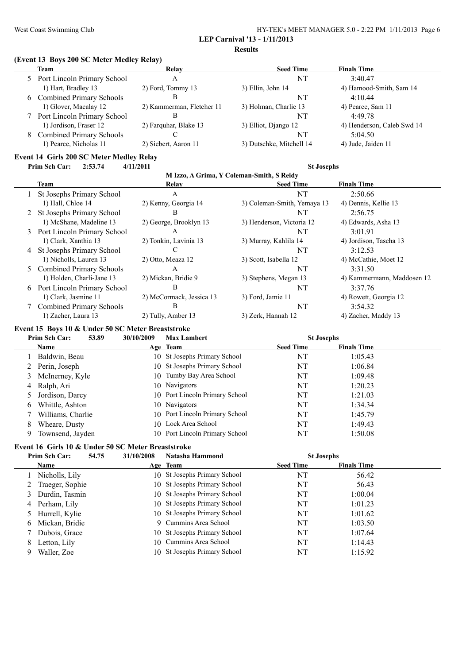#### West Coast Swimming Club HY-TEK's MEET MANAGER 5.0 - 2:22 PM 1/11/2013 Page 6 **LEP Carnival '13 - 1/11/2013**

**Results**

#### **(Event 13 Boys 200 SC Meter Medley Relay)**

|   | Team                            | Relay                     | <b>Seed Time</b>         | <b>Finals Time</b>         |
|---|---------------------------------|---------------------------|--------------------------|----------------------------|
|   | 5 Port Lincoln Primary School   | А                         | NT                       | 3:40.47                    |
|   | 1) Hart, Bradley 13             | 2) Ford, Tommy 13         | 3) Ellin, John 14        | 4) Hamood-Smith, Sam 14    |
|   | 6 Combined Primary Schools      | В                         | NT                       | 4:10.44                    |
|   | 1) Glover, Macalay 12           | 2) Kammerman, Fletcher 11 | 3) Holman, Charlie 13    | 4) Pearce, Sam 11          |
|   | Port Lincoln Primary School     | В                         | NT                       | 4:49.78                    |
|   | 1) Jordison, Fraser 12          | 2) Farquhar, Blake 13     | 3) Elliot, Diango 12     | 4) Henderson, Caleb Swd 14 |
| 8 | <b>Combined Primary Schools</b> |                           | NT                       | 5:04.50                    |
|   | 1) Pearce, Nicholas 11          | 2) Siebert, Aaron 11      | 3) Dutschke, Mitchell 14 | 4) Jude, Jaiden 11         |

# **Event 14 Girls 200 SC Meter Medley Relay**<br>Prim Sch Car: 2:53.74 4/11/2011

**Prim Sch Car: 2:53.74 4/11/2011 St Josephs**

|   | M Izzo, A Grima, Y Coleman-Smith, S Reidy |                          |                             |                            |  |  |  |  |
|---|-------------------------------------------|--------------------------|-----------------------------|----------------------------|--|--|--|--|
|   | Team                                      | Relay                    | <b>Seed Time</b>            | <b>Finals Time</b>         |  |  |  |  |
|   | St Josephs Primary School                 | A                        | NT                          | 2:50.66                    |  |  |  |  |
|   | 1) Hall, Chloe 14                         | 2) Kenny, Georgia 14     | 3) Coleman-Smith, Yemaya 13 | 4) Dennis, Kellie 13       |  |  |  |  |
| 2 | St Josephs Primary School                 | B                        | NT                          | 2:56.75                    |  |  |  |  |
|   | 1) McShane, Madeline 13                   | 2) George, Brooklyn 13   | 3) Henderson, Victoria 12   | 4) Edwards, Asha 13        |  |  |  |  |
|   | 3 Port Lincoln Primary School             | A                        | NT                          | 3:01.91                    |  |  |  |  |
|   | 1) Clark, Xanthia 13                      | 2) Tonkin, Lavinia 13    | 3) Murray, Kahlila 14       | 4) Jordison, Tascha 13     |  |  |  |  |
| 4 | St Josephs Primary School                 |                          | NT                          | 3:12.53                    |  |  |  |  |
|   | 1) Nicholls, Lauren 13                    | 2) Otto, Meaza 12        | 3) Scott, Isabella 12       | 4) McCathie, Moet 12       |  |  |  |  |
|   | 5 Combined Primary Schools                | A                        | NT                          | 3:31.50                    |  |  |  |  |
|   | 1) Holden, Charli-Jane 13                 | 2) Mickan, Bridie 9      | 3) Stephens, Megan 13       | 4) Kammermann, Maddosen 12 |  |  |  |  |
| 6 | Port Lincoln Primary School               | B                        | NT                          | 3:37.76                    |  |  |  |  |
|   | 1) Clark, Jasmine 11                      | 2) McCormack, Jessica 13 | 3) Ford, Jamie 11           | 4) Rowett, Georgia 12      |  |  |  |  |
|   | <b>Combined Primary Schools</b>           | B                        | NT                          | 3:54.32                    |  |  |  |  |
|   | 1) Zacher, Laura 13                       | 2) Tully, Amber 13       | 3) Zerk, Hannah 12          | 4) Zacher, Maddy 13        |  |  |  |  |

# **Event 15 Boys 10 & Under 50 SC Meter Breaststroke**

| Prim Sch Car:<br>53.89 |                   | 30/10/2009 | <b>Max Lambert</b>             | <b>St Josephs</b> |                    |  |
|------------------------|-------------------|------------|--------------------------------|-------------------|--------------------|--|
|                        | Name              |            | Age Team                       | <b>Seed Time</b>  | <b>Finals Time</b> |  |
|                        | Baldwin, Beau     |            | 10 St Josephs Primary School   | NT                | 1:05.43            |  |
|                        | Perin, Joseph     |            | 10 St Josephs Primary School   | NT                | 1:06.84            |  |
|                        | McInerney, Kyle   |            | 10 Tumby Bay Area School       | NT                | 1:09.48            |  |
| 4                      | Ralph, Ari        |            | 10 Navigators                  | NT                | 1:20.23            |  |
|                        | Jordison, Darcy   |            | 10 Port Lincoln Primary School | NT                | 1:21.03            |  |
| 6                      | Whittle, Ashton   |            | 10 Navigators                  | NT                | 1:34.34            |  |
|                        | Williams, Charlie |            | 10 Port Lincoln Primary School | NT                | 1:45.79            |  |
| 8                      | Wheare, Dusty     |            | 10 Lock Area School            | NT                | 1:49.43            |  |
| 9                      | Townsend, Jayden  |            | 10 Port Lincoln Primary School | NT                | 1:50.08            |  |

#### **Event 16 Girls 10 & Under 50 SC Meter Breaststroke**

|   | Prim Sch Car:    | 54.75 | 31/10/2008 | Natasha Hammond              | <b>St Josephs</b> |                    |  |
|---|------------------|-------|------------|------------------------------|-------------------|--------------------|--|
|   | Name             |       |            | Age Team                     | <b>Seed Time</b>  | <b>Finals Time</b> |  |
|   | Nicholls, Lily   |       |            | 10 St Josephs Primary School | NT                | 56.42              |  |
|   | Traeger, Sophie  |       |            | 10 St Josephs Primary School | NT                | 56.43              |  |
|   | Durdin, Tasmin   |       |            | 10 St Josephs Primary School | NT                | 1:00.04            |  |
|   | 4 Perham, Lily   |       |            | 10 St Josephs Primary School | NT                | 1:01.23            |  |
|   | 5 Hurrell, Kylie |       |            | 10 St Josephs Primary School | NT                | 1:01.62            |  |
| 6 | Mickan, Bridie   |       |            | 9 Cummins Area School        | NT                | 1:03.50            |  |
|   | Dubois, Grace    |       |            | 10 St Josephs Primary School | NT                | 1:07.64            |  |
| 8 | Letton, Lily     |       |            | 10 Cummins Area School       | NT                | 1:14.43            |  |
| 9 | Waller, Zoe      |       |            | 10 St Josephs Primary School | NT                | 1:15.92            |  |
|   |                  |       |            |                              |                   |                    |  |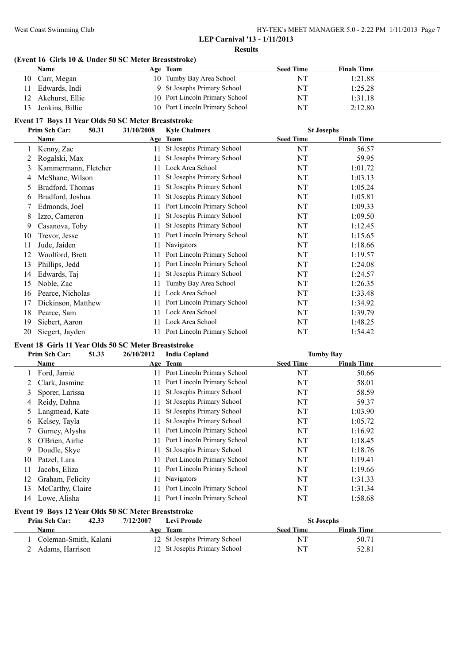#### **Results**

### **(Event 16 Girls 10 & Under 50 SC Meter Breaststroke)**

| <b>Name</b>                                         |            | Age Team                       | <b>Seed Time</b>  | <b>Finals Time</b> |
|-----------------------------------------------------|------------|--------------------------------|-------------------|--------------------|
| Carr, Megan<br>10                                   |            | 10 Tumby Bay Area School       | NT                | 1:21.88            |
| Edwards, Indi<br>11                                 |            | 9 St Josephs Primary School    | NT                | 1:25.28            |
| Akehurst, Ellie<br>12                               |            | 10 Port Lincoln Primary School | NT                | 1:31.18            |
| Jenkins, Billie<br>13                               |            | 10 Port Lincoln Primary School | NT                | 2:12.80            |
| Event 17 Boys 11 Year Olds 50 SC Meter Breaststroke |            |                                |                   |                    |
| Prim Sch Car:<br>50.31                              | 31/10/2008 | <b>Kyle Chalmers</b>           | <b>St Josephs</b> |                    |
| <b>Name</b>                                         |            | Age Team                       | <b>Seed Time</b>  | <b>Finals Time</b> |
| Kenny, Zac                                          | 11         | St Josephs Primary School      | NT                | 56.57              |
| Rogalski, Max                                       | 11         | St Josephs Primary School      | NT                | 59.95              |
| Kammermann, Fletcher                                | 11         | Lock Area School               | NT                | 1:01.72            |
| McShane, Wilson                                     |            | St Josephs Primary School      | NT                | 1:03.13            |

| St Josephs Primary School<br>NT<br>Izzo, Cameron<br>11<br>8<br>St Josephs Primary School<br>NT<br>Casanova, Toby<br>9<br>11<br>11 Port Lincoln Primary School<br>NT<br>Trevor, Jesse<br>10<br>Navigators<br>NT<br>Jude, Jaiden<br>11<br>11<br>11 Port Lincoln Primary School<br>NT<br>Woolford, Brett<br>12<br>11 Port Lincoln Primary School<br>NT<br>Phillips, Jedd<br>13<br>St Josephs Primary School<br>NT<br>Edwards, Taj<br>14<br>11<br>Tumby Bay Area School<br>NT<br>15 Noble, Zac<br>11.<br>Lock Area School<br>NT<br>16 Pearce, Nicholas<br>11<br>11 Port Lincoln Primary School<br>NT<br>Dickinson, Matthew<br>17<br>Lock Area School<br>NT<br>18<br>Pearce, Sam<br>11<br>Lock Area School<br>NT<br>19<br>Siebert, Aaron<br>11.<br>11 Port Lincoln Primary School<br>NT<br>20<br>Siegert, Jayden | Edmonds, Joel | 11 Port Lincoln Primary School | NT | 1:09.33 |
|-------------------------------------------------------------------------------------------------------------------------------------------------------------------------------------------------------------------------------------------------------------------------------------------------------------------------------------------------------------------------------------------------------------------------------------------------------------------------------------------------------------------------------------------------------------------------------------------------------------------------------------------------------------------------------------------------------------------------------------------------------------------------------------------------------------|---------------|--------------------------------|----|---------|
|                                                                                                                                                                                                                                                                                                                                                                                                                                                                                                                                                                                                                                                                                                                                                                                                             |               |                                |    | 1:09.50 |
|                                                                                                                                                                                                                                                                                                                                                                                                                                                                                                                                                                                                                                                                                                                                                                                                             |               |                                |    | 1:12.45 |
|                                                                                                                                                                                                                                                                                                                                                                                                                                                                                                                                                                                                                                                                                                                                                                                                             |               |                                |    | 1:15.65 |
|                                                                                                                                                                                                                                                                                                                                                                                                                                                                                                                                                                                                                                                                                                                                                                                                             |               |                                |    | 1:18.66 |
|                                                                                                                                                                                                                                                                                                                                                                                                                                                                                                                                                                                                                                                                                                                                                                                                             |               |                                |    | 1:19.57 |
|                                                                                                                                                                                                                                                                                                                                                                                                                                                                                                                                                                                                                                                                                                                                                                                                             |               |                                |    | 1:24.08 |
|                                                                                                                                                                                                                                                                                                                                                                                                                                                                                                                                                                                                                                                                                                                                                                                                             |               |                                |    | 1:24.57 |
|                                                                                                                                                                                                                                                                                                                                                                                                                                                                                                                                                                                                                                                                                                                                                                                                             |               |                                |    | 1:26.35 |
|                                                                                                                                                                                                                                                                                                                                                                                                                                                                                                                                                                                                                                                                                                                                                                                                             |               |                                |    | 1:33.48 |
|                                                                                                                                                                                                                                                                                                                                                                                                                                                                                                                                                                                                                                                                                                                                                                                                             |               |                                |    | 1:34.92 |
|                                                                                                                                                                                                                                                                                                                                                                                                                                                                                                                                                                                                                                                                                                                                                                                                             |               |                                |    | 1:39.79 |
|                                                                                                                                                                                                                                                                                                                                                                                                                                                                                                                                                                                                                                                                                                                                                                                                             |               |                                |    | 1:48.25 |
|                                                                                                                                                                                                                                                                                                                                                                                                                                                                                                                                                                                                                                                                                                                                                                                                             |               |                                |    | 1:54.42 |

5 Bradford, Thomas 11 St Josephs Primary School NT 1:05.24 Bradford, Joshua 11 St Josephs Primary School NT 1:05.81

# **Event 18 Girls 11 Year Olds 50 SC Meter Breaststroke**

|    | Prim Sch Car:<br>51.33                              | 26/10/2012 | <b>India Copland</b>        |                  | <b>Tumby Bay</b>   |  |
|----|-----------------------------------------------------|------------|-----------------------------|------------------|--------------------|--|
|    | Name                                                |            | Age Team                    | <b>Seed Time</b> | <b>Finals Time</b> |  |
|    | Ford, Jamie                                         | 11.        | Port Lincoln Primary School | NT               | 50.66              |  |
|    | Clark, Jasmine                                      | 11         | Port Lincoln Primary School | NT               | 58.01              |  |
| 3  | Sporer, Larissa                                     | 11         | St Josephs Primary School   | NT               | 58.59              |  |
| 4  | Reidy, Dahna                                        | 11         | St Josephs Primary School   | NT               | 59.37              |  |
| 5  | Langmead, Kate                                      | 11.        | St Josephs Primary School   | NT               | 1:03.90            |  |
| 6  | Kelsey, Tayla                                       | 11         | St Josephs Primary School   | NT               | 1:05.72            |  |
|    | Gurney, Alysha                                      | 11.        | Port Lincoln Primary School | NT               | 1:16.92            |  |
| 8  | O'Brien, Airlie                                     | 11.        | Port Lincoln Primary School | NT               | 1:18.45            |  |
| 9  | Doudle, Skye                                        | 11         | St Josephs Primary School   | NT               | 1:18.76            |  |
| 10 | Patzel, Lara                                        |            | Port Lincoln Primary School | NT               | 1:19.41            |  |
| 11 | Jacobs, Eliza                                       | 11         | Port Lincoln Primary School | NT               | 1:19.66            |  |
| 12 | Graham, Felicity                                    | 11         | <b>Navigators</b>           | NT               | 1:31.33            |  |
| 13 | McCarthy, Claire                                    | 11         | Port Lincoln Primary School | NT               | 1:31.34            |  |
| 14 | Lowe, Alisha                                        |            | Port Lincoln Primary School | NT               | 1:58.68            |  |
|    | Event 19 Boys 12 Year Olds 50 SC Meter Breaststroke |            |                             |                  |                    |  |

| <b>Prim Sch Car:</b><br>42.33 | 7/12/2007 | Levi Proude                  | <b>St Josephs</b> |                    |  |
|-------------------------------|-----------|------------------------------|-------------------|--------------------|--|
| Name                          |           | Age Team                     | <b>Seed Time</b>  | <b>Finals Time</b> |  |
| Coleman-Smith, Kalani         |           | 12 St Josephs Primary School | NΊ                | 50.71              |  |
| Adams, Harrison               |           | 12 St Josephs Primary School | NT                | 52.81              |  |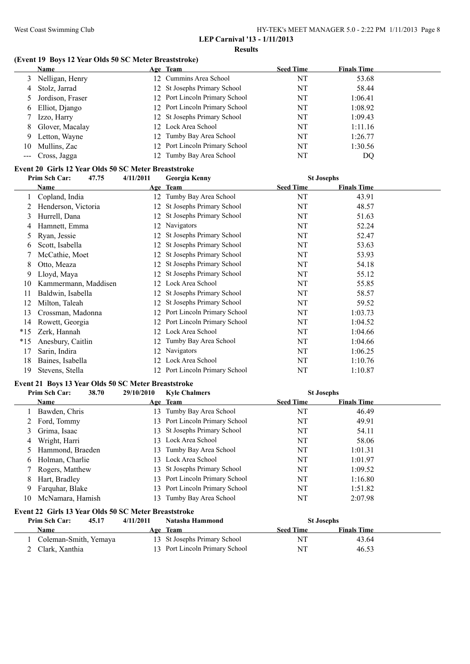#### **Results**

# **(Event 19 Boys 12 Year Olds 50 SC Meter Breaststroke)**

|    | <b>Name</b>        | Age Team                       | <b>Seed Time</b> | <b>Finals Time</b> |
|----|--------------------|--------------------------------|------------------|--------------------|
|    | 3 Nelligan, Henry  | 12 Cummins Area School         | NT               | 53.68              |
| 4  | Stolz, Jarrad      | 12 St Josephs Primary School   | NT               | 58.44              |
|    | 5 Jordison, Fraser | 12 Port Lincoln Primary School | NT               | 1:06.41            |
| 6  | Elliot, Django     | 12 Port Lincoln Primary School | NT               | 1:08.92            |
|    | Izzo, Harry        | 12 St Josephs Primary School   | NT               | 1:09.43            |
|    | 8 Glover, Macalay  | 12 Lock Area School            | NT               | 1:11.16            |
| 9  | Letton, Wayne      | 12 Tumby Bay Area School       | NT               | 1:26.77            |
| 10 | Mullins, Zac       | 12 Port Lincoln Primary School | NT               | 1:30.56            |
|    | --- Cross, Jagga   | 12 Tumby Bay Area School       | NT               | DQ                 |

### **Event 20 Girls 12 Year Olds 50 SC Meter Breaststroke**

|       | Prim Sch Car:        | 47.75 | 4/11/2011 | Georgia Kenny                  | <b>St Josephs</b> |                    |  |
|-------|----------------------|-------|-----------|--------------------------------|-------------------|--------------------|--|
|       | Name                 |       |           | Age Team                       | <b>Seed Time</b>  | <b>Finals Time</b> |  |
|       | Copland, India       |       | 12        | Tumby Bay Area School          | NT                | 43.91              |  |
|       | Henderson, Victoria  |       | 12        | St Josephs Primary School      | NT                | 48.57              |  |
| 3     | Hurrell, Dana        |       | 12        | St Josephs Primary School      | NT                | 51.63              |  |
|       | Hamnett, Emma        |       | 12        | Navigators                     | NT                | 52.24              |  |
|       | Ryan, Jessie         |       | 12        | St Josephs Primary School      | NT                | 52.47              |  |
| 6     | Scott, Isabella      |       | 12        | St Josephs Primary School      | NT                | 53.63              |  |
|       | McCathie, Moet       |       |           | St Josephs Primary School      | NT                | 53.93              |  |
| 8     | Otto, Meaza          |       | 12        | St Josephs Primary School      | NT                | 54.18              |  |
| 9     | Lloyd, Maya          |       | 12        | St Josephs Primary School      | NT                | 55.12              |  |
| 10    | Kammermann, Maddisen |       | 12        | Lock Area School               | NT                | 55.85              |  |
|       | Baldwin, Isabella    |       | 12        | St Josephs Primary School      | NT                | 58.57              |  |
|       | Milton, Taleah       |       |           | St Josephs Primary School      | NT                | 59.52              |  |
| 13    | Crossman, Madonna    |       | 12        | Port Lincoln Primary School    | NT                | 1:03.73            |  |
| 14    | Rowett, Georgia      |       | 12        | Port Lincoln Primary School    | NT                | 1:04.52            |  |
| $*15$ | Zerk, Hannah         |       | 12        | Lock Area School               | NT                | 1:04.66            |  |
| $*15$ | Anesbury, Caitlin    |       | 12        | Tumby Bay Area School          | NT                | 1:04.66            |  |
| 17    | Sarin, Indira        |       |           | Navigators                     | NT                | 1:06.25            |  |
| 18    | Baines, Isabella     |       | 12        | Lock Area School               | NT                | 1:10.76            |  |
| 19    | Stevens, Stella      |       |           | 12 Port Lincoln Primary School | NT                | 1:10.87            |  |

#### **Event 21 Boys 13 Year Olds 50 SC Meter Breaststroke**

|    | Prim Sch Car:<br>38.70                               | 29/10/2010 | <b>Kyle Chalmers</b>           | <b>St Josephs</b> |                    |  |
|----|------------------------------------------------------|------------|--------------------------------|-------------------|--------------------|--|
|    | Name                                                 |            | Age Team                       | <b>Seed Time</b>  | <b>Finals Time</b> |  |
|    | Bawden, Chris                                        |            | 13 Tumby Bay Area School       | NT                | 46.49              |  |
|    | 2 Ford, Tommy                                        |            | 13 Port Lincoln Primary School | NT                | 49.91              |  |
| 3  | Grima, Isaac                                         |            | 13 St Josephs Primary School   | NΤ                | 54.11              |  |
| 4  | Wright, Harri                                        |            | 13 Lock Area School            | NT                | 58.06              |  |
|    | Hammond, Braeden                                     |            | 13 Tumby Bay Area School       | NT                | 1:01.31            |  |
| 6  | Holman, Charlie                                      |            | 13 Lock Area School            | NT                | 1:01.97            |  |
|    | Rogers, Matthew                                      |            | 13 St Josephs Primary School   | NT                | 1:09.52            |  |
| 8  | Hart, Bradley                                        |            | 13 Port Lincoln Primary School | NT                | 1:16.80            |  |
| 9  | Farquhar, Blake                                      |            | 13 Port Lincoln Primary School | NT                | 1:51.82            |  |
| 10 | McNamara, Hamish                                     |            | 13 Tumby Bay Area School       | NT                | 2:07.98            |  |
|    | Event 22 Girls 13 Year Olds 50 SC Meter Breaststroke |            |                                |                   |                    |  |

| <b>Prim Sch Car:</b> | 45.17                 | 4/11/2011 | Natasha Hammond                | <b>St Josephs</b> |                    |  |
|----------------------|-----------------------|-----------|--------------------------------|-------------------|--------------------|--|
| Name                 |                       |           | Age Team                       | <b>Seed Time</b>  | <b>Finals Time</b> |  |
|                      | Coleman-Smith, Yemaya |           | 13 St Josephs Primary School   | NT                | 43.64              |  |
| 2 Clark, Xanthia     |                       |           | 13 Port Lincoln Primary School | NT                | 46.53              |  |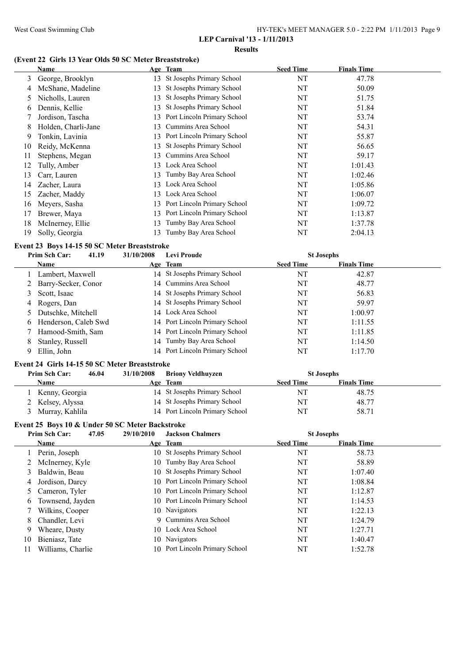| HY-TEK's MEET MANAGER 5.0 - 2:22 PM 1/11/2013 Page 9 |  |
|------------------------------------------------------|--|
|------------------------------------------------------|--|

**LEP Carnival '13 - 1/11/2013 Results**

#### **(Event 22 Girls 13 Year Olds 50 SC Meter Breaststroke)**

|    | Name                |     | Age Team                     | <b>Seed Time</b> | <b>Finals Time</b> |
|----|---------------------|-----|------------------------------|------------------|--------------------|
| 3  | George, Brooklyn    |     | 13 St Josephs Primary School | NT               | 47.78              |
| 4  | McShane, Madeline   | 13  | St Josephs Primary School    | NT               | 50.09              |
| 5  | Nicholls, Lauren    | 13  | St Josephs Primary School    | NT               | 51.75              |
| 6  | Dennis, Kellie      | 13  | St Josephs Primary School    | NT               | 51.84              |
|    | Jordison, Tascha    | 13  | Port Lincoln Primary School  | NT               | 53.74              |
| 8  | Holden, Charli-Jane | 13. | Cummins Area School          | NT               | 54.31              |
| 9  | Tonkin, Lavinia     | 13. | Port Lincoln Primary School  | NT               | 55.87              |
| 10 | Reidy, McKenna      | 13. | St Josephs Primary School    | NT               | 56.65              |
| 11 | Stephens, Megan     | 13. | Cummins Area School          | NT               | 59.17              |
| 12 | Tully, Amber        |     | 13 Lock Area School          | NT               | 1:01.43            |
| 13 | Carr, Lauren        | 13. | Tumby Bay Area School        | NT               | 1:02.46            |
| 14 | Zacher, Laura       | 13. | Lock Area School             | NT               | 1:05.86            |
| 15 | Zacher, Maddy       | 13. | Lock Area School             | NT               | 1:06.07            |
| 16 | Meyers, Sasha       | 13  | Port Lincoln Primary School  | NT               | 1:09.72            |
| 17 | Brewer, Maya        | 13. | Port Lincoln Primary School  | NT               | 1:13.87            |
| 18 | McInerney, Ellie    | 13  | Tumby Bay Area School        | NT               | 1:37.78            |
| 19 | Solly, Georgia      | 13. | Tumby Bay Area School        | NT               | 2:04.13            |

# **Event 23 Boys 14-15 50 SC Meter Breaststroke**

|   | 41.19<br>Prim Sch Car: | 31/10/2008 | <b>Levi Proude</b>             | <b>St Josephs</b> |                    |  |
|---|------------------------|------------|--------------------------------|-------------------|--------------------|--|
|   | Name                   |            | Age Team                       | <b>Seed Time</b>  | <b>Finals Time</b> |  |
|   | Lambert, Maxwell       |            | 14 St Josephs Primary School   | NT                | 42.87              |  |
|   | 2 Barry-Secker, Conor  |            | 14 Cummins Area School         | NT                | 48.77              |  |
|   | Scott, Isaac           |            | 14 St Josephs Primary School   | NT                | 56.83              |  |
| 4 | Rogers, Dan            |            | 14 St Josephs Primary School   | NT                | 59.97              |  |
|   | Dutschke, Mitchell     |            | 14 Lock Area School            | NT                | 1:00.97            |  |
| 6 | Henderson, Caleb Swd   |            | 14 Port Lincoln Primary School | NT                | 1:11.55            |  |
|   | Hamood-Smith, Sam      |            | 14 Port Lincoln Primary School | NT                | 1:11.85            |  |
| 8 | Stanley, Russell       |            | 14 Tumby Bay Area School       | NT                | 1:14.50            |  |
|   | Ellin, John            |            | 14 Port Lincoln Primary School | NT                | 1:17.70            |  |

#### **Event 24 Girls 14-15 50 SC Meter Breaststroke**

| Prim Sch Car:    | 46.04 | 31/10/2008 | <b>Briony Veldhuyzen</b>       | <b>St Josephs</b> |                    |  |
|------------------|-------|------------|--------------------------------|-------------------|--------------------|--|
| <b>Name</b>      |       |            | Age Team                       | <b>Seed Time</b>  | <b>Finals Time</b> |  |
| Kenny, Georgia   |       |            | 14 St Josephs Primary School   | <b>NT</b>         | 48.75              |  |
| 2 Kelsey, Alyssa |       |            | 14 St Josephs Primary School   | <b>NT</b>         | 48.77              |  |
| Murray, Kahlila  |       |            | 14 Port Lincoln Primary School | NT                | 58.71              |  |

#### **Event 25 Boys 10 & Under 50 SC Meter Backstroke**

|    | 47.05<br>Prim Sch Car: | 29/10/2010 | <b>Jackson Chalmers</b>        | <b>St Josephs</b> |                    |  |
|----|------------------------|------------|--------------------------------|-------------------|--------------------|--|
|    | <b>Name</b>            |            | Age Team                       | <b>Seed Time</b>  | <b>Finals Time</b> |  |
|    | Perin, Joseph          |            | 10 St Josephs Primary School   | NT                | 58.73              |  |
|    | 2 McInerney, Kyle      |            | 10 Tumby Bay Area School       | NT                | 58.89              |  |
| 3  | Baldwin, Beau          |            | 10 St Josephs Primary School   | NT                | 1:07.40            |  |
| 4  | Jordison, Darcy        |            | 10 Port Lincoln Primary School | NT                | 1:08.84            |  |
|    | 5 Cameron, Tyler       |            | 10 Port Lincoln Primary School | NT                | 1:12.87            |  |
| 6  | Townsend, Jayden       |            | 10 Port Lincoln Primary School | NT                | 1:14.53            |  |
|    | Wilkins, Cooper        |            | 10 Navigators                  | NT                | 1:22.13            |  |
| 8  | Chandler, Levi         |            | 9 Cummins Area School          | NT                | 1:24.79            |  |
| 9  | Wheare, Dusty          |            | 10 Lock Area School            | NT                | 1:27.71            |  |
| 10 | Bieniasz, Tate         |            | 10 Navigators                  | NT                | 1:40.47            |  |
| 11 | Williams, Charlie      |            | 10 Port Lincoln Primary School | NT                | 1:52.78            |  |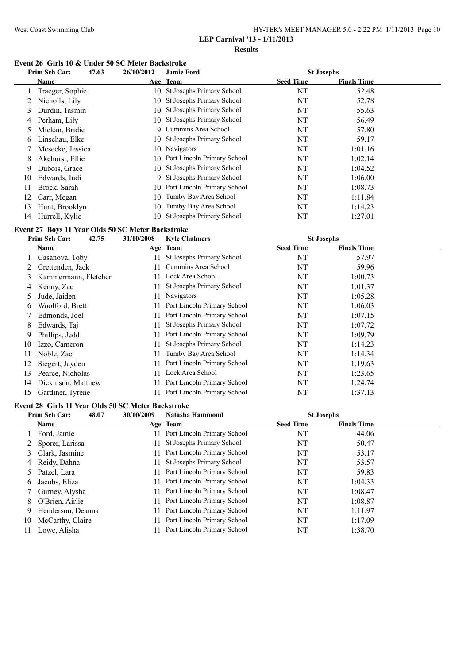#### West Coast Swimming Club HY-TEK's MEET MANAGER 5.0 - 2:22 PM 1/11/2013 Page 10 **LEP Carnival '13 - 1/11/2013**

**Results**

#### **Event 26 Girls 10 & Under 50 SC Meter Backstroke**

|    | Prim Sch Car:    | 47.63 | 26/10/2012 | <b>Jamie Ford</b>              | <b>St Josephs</b> |                    |  |
|----|------------------|-------|------------|--------------------------------|-------------------|--------------------|--|
|    | Name             |       |            | Age Team                       | <b>Seed Time</b>  | <b>Finals Time</b> |  |
|    | Traeger, Sophie  |       |            | 10 St Josephs Primary School   | NT                | 52.48              |  |
|    | Nicholls, Lily   |       | 10         | St Josephs Primary School      | NT                | 52.78              |  |
| 3  | Durdin, Tasmin   |       | 10-        | St Josephs Primary School      | NT                | 55.63              |  |
| 4  | Perham, Lily     |       |            | 10 St Josephs Primary School   | NT                | 56.49              |  |
|    | Mickan, Bridie   |       | 9          | Cummins Area School            | NT                | 57.80              |  |
| 6  | Linschau, Elke   |       |            | 10 St Josephs Primary School   | NT                | 59.17              |  |
|    | Mesecke, Jessica |       |            | 10 Navigators                  | NT                | 1:01.16            |  |
| 8  | Akehurst, Ellie  |       |            | 10 Port Lincoln Primary School | NT                | 1:02.14            |  |
| 9  | Dubois, Grace    |       |            | 10 St Josephs Primary School   | NT                | 1:04.52            |  |
| 10 | Edwards, Indi    |       |            | 9 St Josephs Primary School    | NT                | 1:06.00            |  |
| 11 | Brock, Sarah     |       |            | 10 Port Lincoln Primary School | NT                | 1:08.73            |  |
| 12 | Carr, Megan      |       |            | 10 Tumby Bay Area School       | NT                | 1:11.84            |  |
| 13 | Hunt, Brooklyn   |       | 10         | Tumby Bay Area School          | NT                | 1:14.23            |  |
| 14 | Hurrell, Kylie   |       | 10-        | St Josephs Primary School      | NT                | 1:27.01            |  |

#### **Event 27 Boys 11 Year Olds 50 SC Meter Backstroke**

| Prim Sch Car:  | 42.75 | 31/10/2008                                                                                                                                                                                       | <b>Kyle Chalmers</b>        |                  |                    |                   |
|----------------|-------|--------------------------------------------------------------------------------------------------------------------------------------------------------------------------------------------------|-----------------------------|------------------|--------------------|-------------------|
| Name           |       |                                                                                                                                                                                                  |                             | <b>Seed Time</b> | <b>Finals Time</b> |                   |
|                |       | 11                                                                                                                                                                                               | St Josephs Primary School   | NT               | 57.97              |                   |
|                |       | 11                                                                                                                                                                                               | Cummins Area School         | NT               | 59.96              |                   |
|                |       | 11.                                                                                                                                                                                              | Lock Area School            | NT               | 1:00.73            |                   |
| Kenny, Zac     |       | 11                                                                                                                                                                                               | St Josephs Primary School   | NT               | 1:01.37            |                   |
| Jude, Jaiden   |       | 11                                                                                                                                                                                               | <b>Navigators</b>           | NT               | 1:05.28            |                   |
|                |       | 11                                                                                                                                                                                               | Port Lincoln Primary School | NT               | 1:06.03            |                   |
|                |       | 11                                                                                                                                                                                               | Port Lincoln Primary School | NT               | 1:07.15            |                   |
| Edwards, Tai   |       | 11                                                                                                                                                                                               | St Josephs Primary School   | NT               | 1:07.72            |                   |
| Phillips, Jedd |       | 11                                                                                                                                                                                               | Port Lincoln Primary School | NT               | 1:09.79            |                   |
|                |       | 11                                                                                                                                                                                               | St Josephs Primary School   | NT               | 1:14.23            |                   |
| Noble, Zac     |       | 11                                                                                                                                                                                               | Tumby Bay Area School       | NT               | 1:14.34            |                   |
|                |       | 11                                                                                                                                                                                               | Port Lincoln Primary School | NT               | 1:19.63            |                   |
|                |       | 11                                                                                                                                                                                               | Lock Area School            | NT               | 1:23.65            |                   |
|                |       | 11                                                                                                                                                                                               | Port Lincoln Primary School | NT               | 1:24.74            |                   |
|                |       |                                                                                                                                                                                                  | Port Lincoln Primary School | NT               | 1:37.13            |                   |
|                |       | Casanova, Toby<br>Crettenden, Jack<br>Kammermann, Fletcher<br>Woolford, Brett<br>Edmonds, Joel<br>Izzo, Cameron<br>Siegert, Jayden<br>Pearce, Nicholas<br>Dickinson, Matthew<br>Gardiner, Tyrene |                             | Age Team         |                    | <b>St Josephs</b> |

# **Event 28 Girls 11 Year Olds 50 SC Meter Backstroke**

|    | Prim Sch Car:     | 48.07<br>30/10/2009 | Natasha Hammond                | <b>St Josephs</b> |                    |  |
|----|-------------------|---------------------|--------------------------------|-------------------|--------------------|--|
|    | <b>Name</b>       |                     | Age Team                       | <b>Seed Time</b>  | <b>Finals Time</b> |  |
|    | Ford, Jamie       |                     | 11 Port Lincoln Primary School | NT                | 44.06              |  |
|    | 2 Sporer, Larissa |                     | 11 St Josephs Primary School   | NT                | 50.47              |  |
|    | 3 Clark, Jasmine  |                     | 11 Port Lincoln Primary School | NT                | 53.17              |  |
|    | 4 Reidy, Dahna    |                     | 11 St Josephs Primary School   | NT                | 53.57              |  |
| 5  | Patzel, Lara      |                     | 11 Port Lincoln Primary School | NT                | 59.83              |  |
| 6  | Jacobs, Eliza     |                     | 11 Port Lincoln Primary School | NT                | 1:04.33            |  |
|    | 7 Gurney, Alysha  |                     | 11 Port Lincoln Primary School | NT                | 1:08.47            |  |
| 8  | O'Brien, Airlie   |                     | 11 Port Lincoln Primary School | NT                | 1:08.87            |  |
| 9  | Henderson, Deanna |                     | 11 Port Lincoln Primary School | NT                | 1:11.97            |  |
| 10 | McCarthy, Claire  |                     | 11 Port Lincoln Primary School | NT                | 1:17.09            |  |
| 11 | Lowe, Alisha      |                     | Port Lincoln Primary School    | NT                | 1:38.70            |  |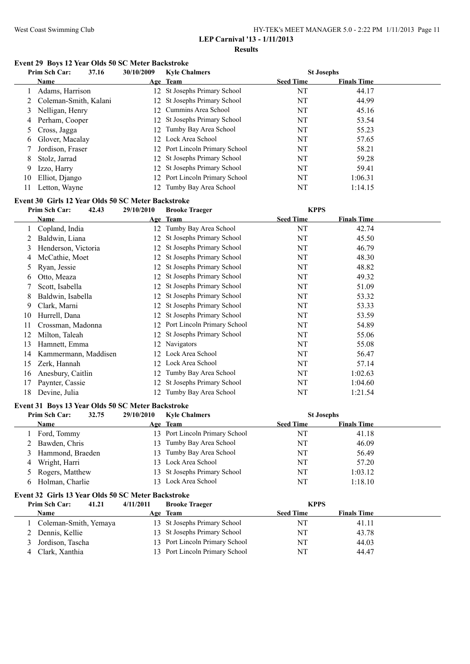#### West Coast Swimming Club HY-TEK's MEET MANAGER 5.0 - 2:22 PM 1/11/2013 Page 11 **LEP Carnival '13 - 1/11/2013**

**Results**

# **Event 29 Boys 12 Year Olds 50 SC Meter Backstroke**

|    | Prim Sch Car:           | 37.16 | 30/10/2009 | <b>Kyle Chalmers</b>           | <b>St Josephs</b> |                    |  |
|----|-------------------------|-------|------------|--------------------------------|-------------------|--------------------|--|
|    | <b>Name</b>             |       |            | Age Team                       | <b>Seed Time</b>  | <b>Finals Time</b> |  |
|    | Adams, Harrison         |       |            | 12 St Josephs Primary School   | NT                | 44.17              |  |
|    | 2 Coleman-Smith, Kalani |       |            | 12 St Josephs Primary School   | NT                | 44.99              |  |
|    | Nelligan, Henry         |       |            | 12 Cummins Area School         | NT                | 45.16              |  |
|    | 4 Perham, Cooper        |       |            | 12 St Josephs Primary School   | NT                | 53.54              |  |
|    | 5 Cross, Jagga          |       |            | 12 Tumby Bay Area School       | NT                | 55.23              |  |
|    | 6 Glover, Macalay       |       |            | 12 Lock Area School            | NT                | 57.65              |  |
|    | Jordison, Fraser        |       |            | 12 Port Lincoln Primary School | NT                | 58.21              |  |
| 8  | Stolz, Jarrad           |       |            | 12 St Josephs Primary School   | NT                | 59.28              |  |
| 9. | Izzo, Harry             |       |            | 12 St Josephs Primary School   | NT                | 59.41              |  |
| 10 | Elliot, Django          |       |            | 12 Port Lincoln Primary School | NT                | 1:06.31            |  |
| 11 | Letton, Wayne           |       |            | 12 Tumby Bay Area School       | NT                | 1:14.15            |  |

# **Event 30 Girls 12 Year Olds 50 SC Meter Backstroke**

|    | Prim Sch Car:        | 29/10/2010<br>42.43 | <b>Brooke Traeger</b>        | <b>KPPS</b>      |                    |  |
|----|----------------------|---------------------|------------------------------|------------------|--------------------|--|
|    | Name                 |                     | Age Team                     | <b>Seed Time</b> | <b>Finals Time</b> |  |
|    | Copland, India       | 12                  | Tumby Bay Area School        | NT               | 42.74              |  |
|    | Baldwin, Liana       | 12                  | St Josephs Primary School    | NT               | 45.50              |  |
| 3  | Henderson, Victoria  | 12                  | St Josephs Primary School    | NT               | 46.79              |  |
| 4  | McCathie, Moet       |                     | 12 St Josephs Primary School | NT               | 48.30              |  |
| 5  | Ryan, Jessie         | 12                  | St Josephs Primary School    | NT               | 48.82              |  |
| 6  | Otto, Meaza          |                     | 12 St Josephs Primary School | NT               | 49.32              |  |
|    | Scott, Isabella      |                     | 12 St Josephs Primary School | NT               | 51.09              |  |
| 8  | Baldwin, Isabella    |                     | 12 St Josephs Primary School | NT               | 53.32              |  |
| 9  | Clark, Marni         |                     | 12 St Josephs Primary School | NT               | 53.33              |  |
| 10 | Hurrell, Dana        | 12                  | St Josephs Primary School    | NT               | 53.59              |  |
| 11 | Crossman, Madonna    | 12                  | Port Lincoln Primary School  | NT               | 54.89              |  |
| 12 | Milton, Taleah       | 12                  | St Josephs Primary School    | NT               | 55.06              |  |
| 13 | Hamnett, Emma        | 12                  | Navigators                   | NT               | 55.08              |  |
| 14 | Kammermann, Maddisen | 12.                 | Lock Area School             | NT               | 56.47              |  |
| 15 | Zerk, Hannah         | 12                  | Lock Area School             | NT               | 57.14              |  |
| 16 | Anesbury, Caitlin    | 12                  | Tumby Bay Area School        | NT               | 1:02.63            |  |
| 17 | Paynter, Cassie      | 12                  | St Josephs Primary School    | NT               | 1:04.60            |  |
| 18 | Devine, Julia        | 12                  | Tumby Bay Area School        | NT               | 1:21.54            |  |

# **Event 31 Boys 13 Year Olds 50 SC Meter Backstroke**

|   | Prim Sch Car:<br>32.75 | 29/10/2010 | <b>Kyle Chalmers</b>           | <b>St Josephs</b> |                    |  |
|---|------------------------|------------|--------------------------------|-------------------|--------------------|--|
|   | <b>Name</b>            |            | Age Team                       | <b>Seed Time</b>  | <b>Finals Time</b> |  |
|   | Ford, Tommy            |            | 13 Port Lincoln Primary School | NT                | 41.18              |  |
|   | 2 Bawden, Chris        |            | 13 Tumby Bay Area School       | NΤ                | 46.09              |  |
|   | Hammond, Braeden       |            | 13 Tumby Bay Area School       | NΤ                | 56.49              |  |
| 4 | Wright, Harri          |            | 13 Lock Area School            | NΤ                | 57.20              |  |
|   | 5 Rogers, Matthew      |            | 13 St Josephs Primary School   | NT                | 1:03.12            |  |
|   | Holman, Charlie        |            | 13 Lock Area School            | NT                | 1:18.10            |  |

## **Event 32 Girls 13 Year Olds 50 SC Meter Backstroke**

| Prim Sch Car:         | 41.21 | 4/11/2011 | <b>Brooke Traeger</b>          | <b>KPPS</b>      |                    |  |
|-----------------------|-------|-----------|--------------------------------|------------------|--------------------|--|
| <b>Name</b>           |       |           | Age Team                       | <b>Seed Time</b> | <b>Finals Time</b> |  |
| Coleman-Smith, Yemaya |       |           | 13 St Josephs Primary School   | NT               | 41.11              |  |
| 2 Dennis, Kellie      |       |           | 13 St Josephs Primary School   | NT               | 43.78              |  |
| 3 Jordison, Tascha    |       |           | 13 Port Lincoln Primary School | NT               | 44.03              |  |
| Clark, Xanthia        |       |           | 13 Port Lincoln Primary School | NT               | 44.47              |  |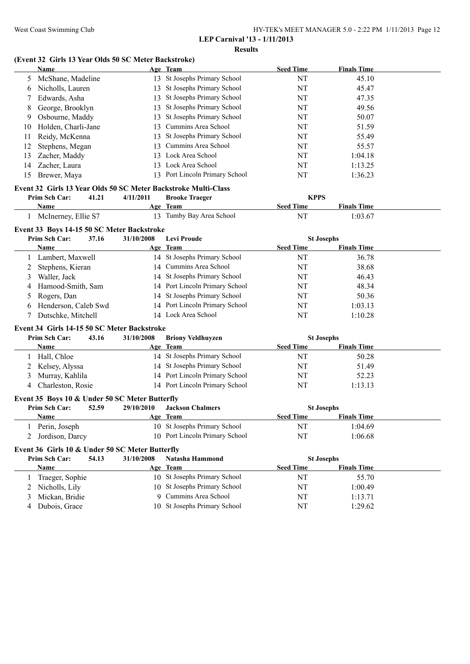#### West Coast Swimming Club HY-TEK's MEET MANAGER 5.0 - 2:22 PM 1/11/2013 Page 12 **LEP Carnival '13 - 1/11/2013**

**Results**

# **(Event 32 Girls 13 Year Olds 50 SC Meter Backstroke)**

|    | <b>Name</b>                                                     |       | 13 TO TUAT ORIS 50 BC MUUL DAUNSTIUNU | Age Team                                                       | <b>Seed Time</b> | <b>Finals Time</b>                      |  |
|----|-----------------------------------------------------------------|-------|---------------------------------------|----------------------------------------------------------------|------------------|-----------------------------------------|--|
| 5  | McShane, Madeline                                               |       |                                       | 13 St Josephs Primary School                                   | NT               | 45.10                                   |  |
| 6  | Nicholls, Lauren                                                |       |                                       | 13 St Josephs Primary School                                   | NT               | 45.47                                   |  |
| 7  | Edwards, Asha                                                   |       |                                       | 13 St Josephs Primary School                                   | NT               | 47.35                                   |  |
| 8  | George, Brooklyn                                                |       |                                       | 13 St Josephs Primary School                                   | NT               | 49.56                                   |  |
| 9  | Osbourne, Maddy                                                 |       | 13                                    | St Josephs Primary School                                      | NT               | 50.07                                   |  |
| 10 | Holden, Charli-Jane                                             |       | 13                                    | Cummins Area School                                            | NT               | 51.59                                   |  |
| 11 | Reidy, McKenna                                                  |       | 13                                    | St Josephs Primary School                                      | NT               | 55.49                                   |  |
| 12 | Stephens, Megan                                                 |       | 13                                    | Cummins Area School                                            | NT               | 55.57                                   |  |
| 13 | Zacher, Maddy                                                   |       |                                       | 13 Lock Area School                                            | NT               | 1:04.18                                 |  |
| 14 | Zacher, Laura                                                   |       |                                       | 13 Lock Area School                                            | NT               | 1:13.25                                 |  |
| 15 | Brewer, Maya                                                    |       |                                       | 13 Port Lincoln Primary School                                 | NT               | 1:36.23                                 |  |
|    |                                                                 |       |                                       | Event 32 Girls 13 Year Olds 50 SC Meter Backstroke Multi-Class |                  |                                         |  |
|    | Prim Sch Car:                                                   | 41.21 | 4/11/2011                             | <b>Brooke Traeger</b>                                          | <b>KPPS</b>      |                                         |  |
|    | Name                                                            |       |                                       | Age Team                                                       | <b>Seed Time</b> | <b>Finals Time</b>                      |  |
|    | 1 McInerney, Ellie S7                                           |       |                                       | 13 Tumby Bay Area School                                       | NT               | 1:03.67                                 |  |
|    | Event 33 Boys 14-15 50 SC Meter Backstroke                      |       |                                       |                                                                |                  |                                         |  |
|    | Prim Sch Car:                                                   | 37.16 | 31/10/2008                            | <b>Levi Proude</b>                                             |                  | <b>St Josephs</b>                       |  |
|    | Name                                                            |       |                                       | Age Team                                                       | <b>Seed Time</b> | <b>Finals Time</b>                      |  |
|    | Lambert, Maxwell                                                |       |                                       | 14 St Josephs Primary School                                   | NT               | 36.78                                   |  |
| 2  | Stephens, Kieran                                                |       |                                       | 14 Cummins Area School                                         | NT               | 38.68                                   |  |
| 3  | Waller, Jack                                                    |       |                                       | 14 St Josephs Primary School                                   | NT               | 46.43                                   |  |
| 4  | Hamood-Smith, Sam                                               |       |                                       | 14 Port Lincoln Primary School                                 | NT               | 48.34                                   |  |
| 5  | Rogers, Dan                                                     |       |                                       | 14 St Josephs Primary School                                   | NT               | 50.36                                   |  |
| 6  | Henderson, Caleb Swd                                            |       |                                       | 14 Port Lincoln Primary School                                 | NT               | 1:03.13                                 |  |
| 7  | Dutschke, Mitchell                                              |       |                                       | 14 Lock Area School                                            | NT               | 1:10.28                                 |  |
|    | Event 34 Girls 14-15 50 SC Meter Backstroke                     |       |                                       |                                                                |                  |                                         |  |
|    | Prim Sch Car:                                                   | 43.16 | 31/10/2008                            | <b>Briony Veldhuyzen</b>                                       |                  | <b>St Josephs</b>                       |  |
|    | Name                                                            |       |                                       | Age Team                                                       | <b>Seed Time</b> | <b>Finals Time</b>                      |  |
| 1  | Hall, Chloe                                                     |       |                                       | 14 St Josephs Primary School                                   | NT               | 50.28                                   |  |
| 2  | Kelsey, Alyssa                                                  |       |                                       | 14 St Josephs Primary School                                   | NT               | 51.49                                   |  |
| 3  | Murray, Kahlila                                                 |       |                                       | 14 Port Lincoln Primary School                                 | NT               | 52.23                                   |  |
| 4  | Charleston, Rosie                                               |       |                                       | 14 Port Lincoln Primary School                                 | NT               | 1:13.13                                 |  |
|    | Event 35 Boys 10 & Under 50 SC Meter Butterfly<br>Prim Sch Car: | 52.59 | 29/10/2010                            | <b>Jackson Chalmers</b>                                        |                  |                                         |  |
|    | <b>Name</b>                                                     |       | <u>Age</u>                            | Team                                                           | <b>Seed Time</b> | <b>St Josephs</b><br><b>Finals Time</b> |  |
| 1  | Perin, Joseph                                                   |       |                                       | 10 St Josephs Primary School                                   | NT               | 1:04.69                                 |  |
| 2  | Jordison, Darcy                                                 |       |                                       | 10 Port Lincoln Primary School                                 | NT               | 1:06.68                                 |  |
|    | Event 36 Girls 10 & Under 50 SC Meter Butterfly                 |       |                                       |                                                                |                  |                                         |  |
|    | Prim Sch Car:                                                   | 54.13 | 31/10/2008                            | Natasha Hammond                                                |                  | <b>St Josephs</b>                       |  |
|    | <b>Name</b>                                                     |       |                                       | Age Team                                                       | <b>Seed Time</b> | <b>Finals Time</b>                      |  |
| 1  | Traeger, Sophie                                                 |       |                                       | 10 St Josephs Primary School                                   | NT               | 55.70                                   |  |
| 2  | Nicholls, Lily                                                  |       |                                       | 10 St Josephs Primary School                                   | NT               | 1:00.49                                 |  |
| 3  | Mickan, Bridie                                                  |       | 9.                                    | Cummins Area School                                            | NT               | 1:13.71                                 |  |
| 4  | Dubois, Grace                                                   |       |                                       | 10 St Josephs Primary School                                   | NT               | 1:29.62                                 |  |
|    |                                                                 |       |                                       |                                                                |                  |                                         |  |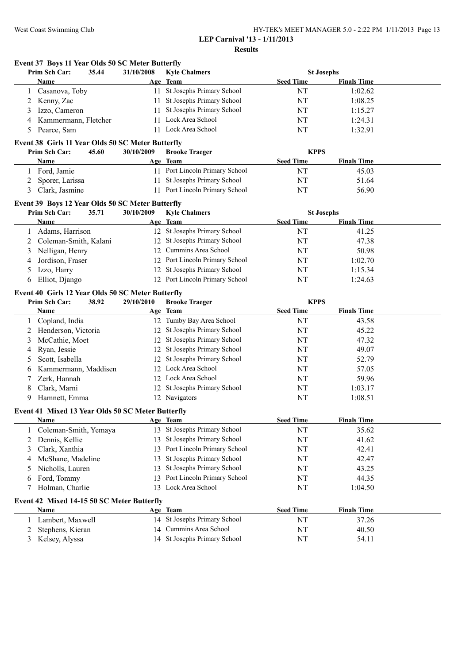### West Coast Swimming Club HY-TEK's MEET MANAGER 5.0 - 2:22 PM 1/11/2013 Page 13 **LEP Carnival '13 - 1/11/2013**

**Results**

|   | Event 37 Boys 11 Year Olds 50 SC Meter Butterfly                            |            |                                |                  |                    |  |
|---|-----------------------------------------------------------------------------|------------|--------------------------------|------------------|--------------------|--|
|   | Prim Sch Car:<br>35.44                                                      | 31/10/2008 | <b>Kyle Chalmers</b>           |                  | <b>St Josephs</b>  |  |
|   | Name                                                                        |            | Age Team                       | <b>Seed Time</b> | <b>Finals Time</b> |  |
|   | Casanova, Toby                                                              |            | 11 St Josephs Primary School   | NT               | 1:02.62            |  |
| 2 | Kenny, Zac                                                                  |            | 11 St Josephs Primary School   | NT               | 1:08.25            |  |
| 3 | Izzo, Cameron                                                               |            | 11 St Josephs Primary School   | NT               | 1:15.27            |  |
| 4 | Kammermann, Fletcher                                                        |            | 11 Lock Area School            | NT               | 1:24.31            |  |
| 5 | Pearce, Sam                                                                 |            | 11 Lock Area School            | NT               | 1:32.91            |  |
|   | Event 38 Girls 11 Year Olds 50 SC Meter Butterfly                           |            |                                |                  |                    |  |
|   | Prim Sch Car:<br>45.60                                                      | 30/10/2009 | <b>Brooke Traeger</b>          | <b>KPPS</b>      |                    |  |
|   | Name                                                                        |            | Age Team                       | <b>Seed Time</b> | <b>Finals Time</b> |  |
|   | 1 Ford, Jamie                                                               |            | 11 Port Lincoln Primary School | NT               | 45.03              |  |
| 2 | Sporer, Larissa                                                             |            | 11 St Josephs Primary School   | NT               | 51.64              |  |
| 3 | Clark, Jasmine                                                              |            | 11 Port Lincoln Primary School | NT               | 56.90              |  |
|   | Event 39 Boys 12 Year Olds 50 SC Meter Butterfly                            |            |                                |                  |                    |  |
|   | Prim Sch Car:<br>35.71                                                      | 30/10/2009 | <b>Kyle Chalmers</b>           |                  | <b>St Josephs</b>  |  |
|   | Name                                                                        |            | Age Team                       | <b>Seed Time</b> | <b>Finals Time</b> |  |
| 1 | Adams, Harrison                                                             |            | 12 St Josephs Primary School   | NT               | 41.25              |  |
| 2 | Coleman-Smith, Kalani                                                       |            | 12 St Josephs Primary School   | NT               | 47.38              |  |
| 3 | Nelligan, Henry                                                             |            | 12 Cummins Area School         | NT               | 50.98              |  |
| 4 | Jordison, Fraser                                                            |            | 12 Port Lincoln Primary School | NT               | 1:02.70            |  |
| 5 | Izzo, Harry                                                                 | 12         | St Josephs Primary School      | NT               | 1:15.34            |  |
| 6 | Elliot, Django                                                              |            | 12 Port Lincoln Primary School | NT               | 1:24.63            |  |
|   |                                                                             |            |                                |                  |                    |  |
|   | Event 40 Girls 12 Year Olds 50 SC Meter Butterfly<br>Prim Sch Car:<br>38.92 | 29/10/2010 | <b>Brooke Traeger</b>          | <b>KPPS</b>      |                    |  |
|   | Name                                                                        |            | Age Team                       | <b>Seed Time</b> | <b>Finals Time</b> |  |
|   | 1 Copland, India                                                            |            | 12 Tumby Bay Area School       | NT               | 43.58              |  |
| 2 | Henderson, Victoria                                                         |            | 12 St Josephs Primary School   | NT               | 45.22              |  |
| 3 | McCathie, Moet                                                              |            | 12 St Josephs Primary School   | NT               | 47.32              |  |
|   | Ryan, Jessie                                                                |            | 12 St Josephs Primary School   | NT               | 49.07              |  |
| 4 |                                                                             |            | 12 St Josephs Primary School   |                  |                    |  |
| 5 | Scott, Isabella                                                             |            | 12 Lock Area School            | NT               | 52.79<br>57.05     |  |
| 6 | Kammermann, Maddisen                                                        |            |                                | NT               |                    |  |
| 7 | Zerk, Hannah                                                                |            | 12 Lock Area School            | NT               | 59.96              |  |
| 8 | Clark, Marni                                                                |            | 12 St Josephs Primary School   | NT               | 1:03.17            |  |
| 9 | Hamnett, Emma                                                               |            | 12 Navigators                  | NT               | 1:08.51            |  |
|   | Event 41 Mixed 13 Year Olds 50 SC Meter Butterfly                           |            |                                |                  |                    |  |
|   | <u>Name</u>                                                                 |            | Age Team                       | <b>Seed Time</b> | <b>Finals Time</b> |  |
| 1 | Coleman-Smith, Yemaya                                                       |            | 13 St Josephs Primary School   | NT               | 35.62              |  |
| 2 | Dennis, Kellie                                                              | 13         | St Josephs Primary School      | NT               | 41.62              |  |
| 3 | Clark, Xanthia                                                              | 13         | Port Lincoln Primary School    | NT               | 42.41              |  |
| 4 | McShane, Madeline                                                           | 13         | St Josephs Primary School      | NT               | 42.47              |  |
| 5 | Nicholls, Lauren                                                            | 13         | St Josephs Primary School      | NT               | 43.25              |  |
| 6 | Ford, Tommy                                                                 | 13         | Port Lincoln Primary School    | NT               | 44.35              |  |
| 7 | Holman, Charlie                                                             | 13         | Lock Area School               | NT               | 1:04.50            |  |
|   | Event 42 Mixed 14-15 50 SC Meter Butterfly                                  |            |                                |                  |                    |  |
|   | Name                                                                        |            | Age Team                       | <b>Seed Time</b> | <b>Finals Time</b> |  |
| 1 | Lambert, Maxwell                                                            |            | 14 St Josephs Primary School   | NT               | 37.26              |  |
| 2 | Stephens, Kieran                                                            | 14         | Cummins Area School            | NT               | 40.50              |  |
| 3 | Kelsey, Alyssa                                                              |            | 14 St Josephs Primary School   | NT               | 54.11              |  |
|   |                                                                             |            |                                |                  |                    |  |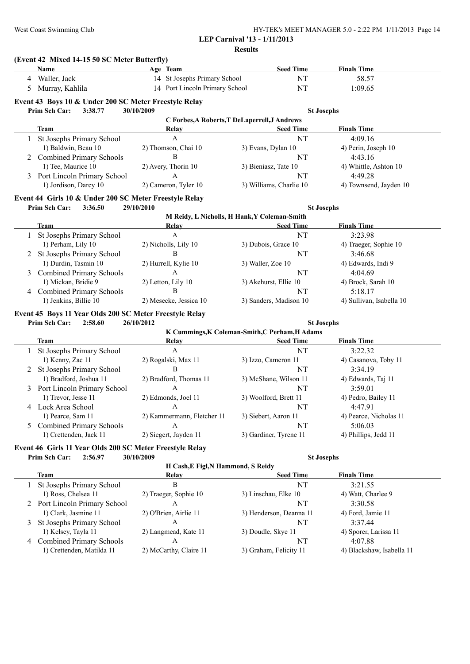| HY-TEK's MEET MANAGER 5.0 - 2:22 PM 1/11/2013 Page 14 |  |
|-------------------------------------------------------|--|
| <b>LEP Carnival '13 - 1/11/2013</b>                   |  |

**Results**

|   | <b>Name</b>                                                                                                  | Age Team                               | <b>Seed Time</b>                                                                              | <b>Finals Time</b>                   |
|---|--------------------------------------------------------------------------------------------------------------|----------------------------------------|-----------------------------------------------------------------------------------------------|--------------------------------------|
|   | 4 Waller, Jack                                                                                               | 14 St Josephs Primary School           | NT                                                                                            | 58.57                                |
| 5 | Murray, Kahlila                                                                                              | 14 Port Lincoln Primary School         | <b>NT</b>                                                                                     | 1:09.65                              |
|   | Event 43 Boys 10 & Under 200 SC Meter Freestyle Relay                                                        |                                        |                                                                                               |                                      |
|   | Prim Sch Car:<br>3:38.77                                                                                     | 30/10/2009                             | <b>St Josephs</b>                                                                             |                                      |
|   |                                                                                                              |                                        | C Forbes, A Roberts, T DeLaperrell, J Andrews                                                 |                                      |
|   | <b>Team</b>                                                                                                  | Relay                                  | <b>Seed Time</b>                                                                              | <b>Finals Time</b>                   |
|   | St Josephs Primary School                                                                                    | A                                      | NT                                                                                            | 4:09.16                              |
|   | 1) Baldwin, Beau 10                                                                                          | 2) Thomson, Chai 10                    | 3) Evans, Dylan 10                                                                            | 4) Perin, Joseph 10                  |
| 2 | <b>Combined Primary Schools</b>                                                                              | B                                      | NT                                                                                            | 4:43.16                              |
|   | 1) Tee, Maurice 10                                                                                           | 2) Avery, Thorin 10<br>A               | 3) Bieniasz, Tate 10                                                                          | 4) Whittle, Ashton 10                |
| 3 | Port Lincoln Primary School<br>1) Jordison, Darcy 10                                                         |                                        | NT                                                                                            | 4:49.28                              |
|   |                                                                                                              | 2) Cameron, Tyler 10                   | 3) Williams, Charlie 10                                                                       | 4) Townsend, Jayden 10               |
|   | Event 44 Girls 10 & Under 200 SC Meter Freestyle Relay                                                       |                                        |                                                                                               |                                      |
|   | Prim Sch Car:<br>3:36.50                                                                                     | 29/10/2010                             | <b>St Josephs</b>                                                                             |                                      |
|   |                                                                                                              |                                        | M Reidy, L Nicholls, H Hank, Y Coleman-Smith                                                  |                                      |
|   | <b>Team</b><br>1 St Josephs Primary School                                                                   | Relay<br>A                             | <b>Seed Time</b><br><b>NT</b>                                                                 | <b>Finals Time</b><br>3:23.98        |
|   | 1) Perham, Lily 10                                                                                           | 2) Nicholls, Lily 10                   | 3) Dubois, Grace 10                                                                           | 4) Traeger, Sophie 10                |
| 2 | St Josephs Primary School                                                                                    | B                                      | NT                                                                                            | 3:46.68                              |
|   | 1) Durdin, Tasmin 10                                                                                         | 2) Hurrell, Kylie 10                   | 3) Waller, Zoe 10                                                                             | 4) Edwards, Indi 9                   |
| 3 | <b>Combined Primary Schools</b>                                                                              | A                                      | <b>NT</b>                                                                                     | 4:04.69                              |
|   | 1) Mickan, Bridie 9                                                                                          | 2) Letton, Lily 10                     | 3) Akehurst, Ellie 10                                                                         | 4) Brock, Sarah 10                   |
|   | <b>Combined Primary Schools</b>                                                                              | B                                      | NT                                                                                            | 5:18.17                              |
|   |                                                                                                              |                                        |                                                                                               |                                      |
| 4 | 1) Jenkins, Billie 10<br>Event 45 Boys 11 Year Olds 200 SC Meter Freestyle Relay<br>Prim Sch Car:<br>2:58.60 | 2) Mesecke, Jessica 10<br>26/10/2012   | 3) Sanders, Madison 10<br><b>St Josephs</b><br>K Cummings, K Coleman-Smith, C Perham, H Adams | 4) Sullivan, Isabella 10             |
|   |                                                                                                              |                                        |                                                                                               |                                      |
|   | <b>Team</b>                                                                                                  | <b>Relay</b>                           | <b>Seed Time</b>                                                                              | <b>Finals Time</b>                   |
|   | St Josephs Primary School                                                                                    | $\mathbf{A}$                           | NT                                                                                            | 3:22.32                              |
|   | 1) Kenny, Zac 11                                                                                             | 2) Rogalski, Max 11                    | 3) Izzo, Cameron 11                                                                           | 4) Casanova, Toby 11                 |
| 2 | St Josephs Primary School                                                                                    | $\, {\bf B}$                           | NT                                                                                            | 3:34.19                              |
| 3 | 1) Bradford, Joshua 11                                                                                       | 2) Bradford, Thomas 11<br>$\mathbf{A}$ | 3) McShane, Wilson 11<br>NT                                                                   | 4) Edwards, Taj 11<br>3:59.01        |
|   | Port Lincoln Primary School<br>1) Trevor, Jesse 11                                                           | 2) Edmonds, Joel 11                    | 3) Woolford, Brett 11                                                                         | 4) Pedro, Bailey 11                  |
|   | 4 Lock Area School                                                                                           | A                                      | NT                                                                                            | 4:47.91                              |
|   | 1) Pearce, Sam 11                                                                                            | 2) Kammermann, Fletcher 11             | 3) Siebert, Aaron 11                                                                          | 4) Pearce, Nicholas 11               |
| 5 | <b>Combined Primary Schools</b>                                                                              | A                                      | NT                                                                                            | 5:06.03                              |
|   | 1) Crettenden, Jack 11                                                                                       | 2) Siegert, Jayden 11                  | 3) Gardiner, Tyrene 11                                                                        | 4) Phillips, Jedd 11                 |
|   | Event 46 Girls 11 Year Olds 200 SC Meter Freestyle Relay                                                     |                                        |                                                                                               |                                      |
|   | Prim Sch Car:<br>2:56.97                                                                                     | 30/10/2009                             | <b>St Josephs</b>                                                                             |                                      |
|   |                                                                                                              | H Cash, E Figl, N Hammond, S Reidy     |                                                                                               |                                      |
|   | <b>Team</b>                                                                                                  | Relay                                  | <b>Seed Time</b>                                                                              | <b>Finals Time</b>                   |
|   | St Josephs Primary School                                                                                    | B                                      | NT                                                                                            | 3:21.55                              |
|   | 1) Ross, Chelsea 11                                                                                          | 2) Traeger, Sophie 10                  | 3) Linschau, Elke 10                                                                          | 4) Watt, Charlee 9                   |
|   | 2 Port Lincoln Primary School                                                                                | A                                      | NT                                                                                            | 3:30.58                              |
|   | 1) Clark, Jasmine 11                                                                                         | 2) O'Brien, Airlie 11                  | 3) Henderson, Deanna 11                                                                       | 4) Ford, Jamie 11                    |
| 3 | St Josephs Primary School                                                                                    | A                                      | NT                                                                                            | 3:37.44                              |
|   | 1) Kelsey, Tayla 11                                                                                          | 2) Langmead, Kate 11                   | 3) Doudle, Skye 11                                                                            | 4) Sporer, Larissa 11                |
| 4 | <b>Combined Primary Schools</b><br>1) Crettenden, Matilda 11                                                 | A<br>2) McCarthy, Claire 11            | NT<br>3) Graham, Felicity 11                                                                  | 4:07.88<br>4) Blackshaw, Isabella 11 |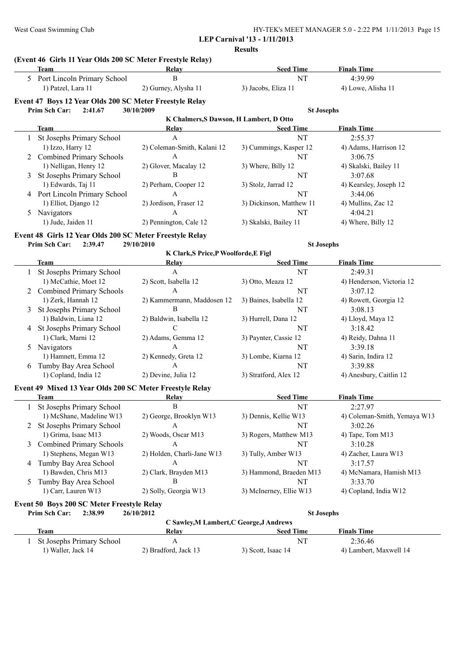|               |                                                                           |                                         | <b>Results</b>           |                               |
|---------------|---------------------------------------------------------------------------|-----------------------------------------|--------------------------|-------------------------------|
|               | (Event 46 Girls 11 Year Olds 200 SC Meter Freestyle Relay)<br><b>Team</b> |                                         |                          |                               |
|               |                                                                           | Relay<br>$\, {\bf B}$                   | <b>Seed Time</b><br>NT   | <b>Finals Time</b><br>4:39.99 |
|               | 5 Port Lincoln Primary School                                             |                                         |                          |                               |
|               | 1) Patzel, Lara 11                                                        | 2) Gurney, Alysha 11                    | 3) Jacobs, Eliza 11      | 4) Lowe, Alisha 11            |
|               | Event 47 Boys 12 Year Olds 200 SC Meter Freestyle Relay                   |                                         |                          |                               |
|               | Prim Sch Car:<br>2:41.67                                                  | 30/10/2009                              | <b>St Josephs</b>        |                               |
|               |                                                                           | K Chalmers, S Dawson, H Lambert, D Otto |                          |                               |
|               | <b>Team</b>                                                               | Relay                                   | <b>Seed Time</b>         | <b>Finals Time</b>            |
| $\mathbf{1}$  | St Josephs Primary School                                                 | $\mathbf{A}$                            | NT                       | 2:55.37                       |
|               | 1) Izzo, Harry 12                                                         | 2) Coleman-Smith, Kalani 12             | 3) Cummings, Kasper 12   | 4) Adams, Harrison 12         |
|               | <b>Combined Primary Schools</b>                                           | $\mathbf{A}$                            | NT                       | 3:06.75                       |
|               | 1) Nelligan, Henry 12                                                     | 2) Glover, Macalay 12                   | 3) Where, Billy 12       | 4) Skalski, Bailey 11         |
|               | St Josephs Primary School                                                 | B                                       | NT                       | 3:07.68                       |
|               | 1) Edwards, Taj 11                                                        | 2) Perham, Cooper 12                    | 3) Stolz, Jarrad 12      | 4) Kearsley, Joseph 12        |
|               | 4 Port Lincoln Primary School                                             | $\mathbf{A}$                            | NT                       | 3:44.06                       |
|               | 1) Elliot, Django 12                                                      | 2) Jordison, Fraser 12                  | 3) Dickinson, Matthew 11 | 4) Mullins, Zac 12            |
|               | 5 Navigators                                                              | $\mathbf{A}$                            | NT                       | 4:04.21                       |
|               | 1) Jude, Jaiden 11                                                        | 2) Pennington, Cale 12                  | 3) Skalski, Bailey 11    | 4) Where, Billy 12            |
|               | Event 48 Girls 12 Year Olds 200 SC Meter Freestyle Relay                  |                                         |                          |                               |
|               | Prim Sch Car:<br>2:39.47                                                  | 29/10/2010                              | <b>St Josephs</b>        |                               |
|               |                                                                           | K Clark, S Price, P Woolforde, E Figl   |                          |                               |
|               | <b>Team</b>                                                               | <b>Relay</b>                            | <b>Seed Time</b>         | <b>Finals Time</b>            |
| 1             | St Josephs Primary School                                                 | $\mathbf{A}$                            | NT                       | 2:49.31                       |
|               | 1) McCathie, Moet 12                                                      | 2) Scott, Isabella 12                   | 3) Otto, Meaza 12        | 4) Henderson, Victoria 12     |
| 2             | <b>Combined Primary Schools</b>                                           | A                                       | NT                       | 3:07.12                       |
|               | 1) Zerk, Hannah 12                                                        | 2) Kammermann, Maddosen 12              | 3) Baines, Isabella 12   | 4) Rowett, Georgia 12         |
| 3             | St Josephs Primary School                                                 | $\, {\bf B}$                            | NT                       | 3:08.13                       |
|               | 1) Baldwin, Liana 12                                                      | 2) Baldwin, Isabella 12                 | 3) Hurrell, Dana 12      | 4) Lloyd, Maya 12             |
| 4             | St Josephs Primary School                                                 | $\mathcal{C}$                           | NT                       | 3:18.42                       |
|               | 1) Clark, Marni 12                                                        | 2) Adams, Gemma 12                      | 3) Paynter, Cassie 12    | 4) Reidy, Dahna 11            |
|               | 5 Navigators                                                              | A                                       | NT                       | 3:39.18                       |
|               | 1) Hamnett, Emma 12                                                       | 2) Kennedy, Greta 12                    | 3) Lombe, Kiarna 12      | 4) Sarin, Indira 12           |
| 6             | Tumby Bay Area School                                                     | $\mathbf{A}$                            | NT                       | 3:39.88                       |
|               | 1) Copland, India 12                                                      | 2) Devine, Julia 12                     | 3) Stratford, Alex 12    | 4) Anesbury, Caitlin 12       |
|               |                                                                           |                                         |                          |                               |
|               | Event 49 Mixed 13 Year Olds 200 SC Meter Freestyle Relay                  |                                         |                          |                               |
|               | Team                                                                      | Relav                                   | <b>Seed Time</b>         | <b>Finals Time</b>            |
| 1             | St Josephs Primary School                                                 | B                                       | NT                       | 2:27.97                       |
|               | 1) McShane, Madeline W13                                                  | 2) George, Brooklyn W13                 | 3) Dennis, Kellie W13    | 4) Coleman-Smith, Yemaya W13  |
| 2             | St Josephs Primary School                                                 | A                                       | NT                       | 3:02.26                       |
|               | 1) Grima, Isaac M13                                                       | 2) Woods, Oscar M13                     | 3) Rogers, Matthew M13   | 4) Tape, Tom M13              |
|               | <b>Combined Primary Schools</b>                                           | A                                       | NT                       | 3:10.28                       |
|               | 1) Stephens, Megan W13                                                    | 2) Holden, Charli-Jane W13              | 3) Tully, Amber W13      | 4) Zacher, Laura W13          |
|               | 4 Tumby Bay Area School                                                   | A                                       | NT                       | 3:17.57                       |
|               | 1) Bawden, Chris M13                                                      | 2) Clark, Brayden M13                   | 3) Hammond, Braeden M13  | 4) McNamara, Hamish M13       |
| $\mathcal{L}$ | Tumby Bay Area School                                                     | B                                       | NT                       | 3:33.70                       |
|               | 1) Carr, Lauren W13                                                       | 2) Solly, Georgia W13                   | 3) McInerney, Ellie W13  | 4) Copland, India W12         |
|               | Event 50 Boys 200 SC Meter Freestyle Relay                                |                                         |                          |                               |
|               | <b>Prim Sch Car: 2:38.99</b>                                              | 26/10/2012                              | <b>St Josephs</b>        |                               |

| і і пін эсп сат.<br>2.JO.JJ | 40/10/4014           | эт алгарт                                |                        |  |
|-----------------------------|----------------------|------------------------------------------|------------------------|--|
|                             |                      | C Sawley, M Lambert, C George, J Andrews |                        |  |
| Team                        | Relav                | Seed Time                                | <b>Finals Time</b>     |  |
| St Josephs Primary School   |                      | NT                                       | 2:36.46                |  |
| l) Waller, Jack 14          | 2) Bradford, Jack 13 | 3) Scott, Isaac 14                       | 4) Lambert, Maxwell 14 |  |